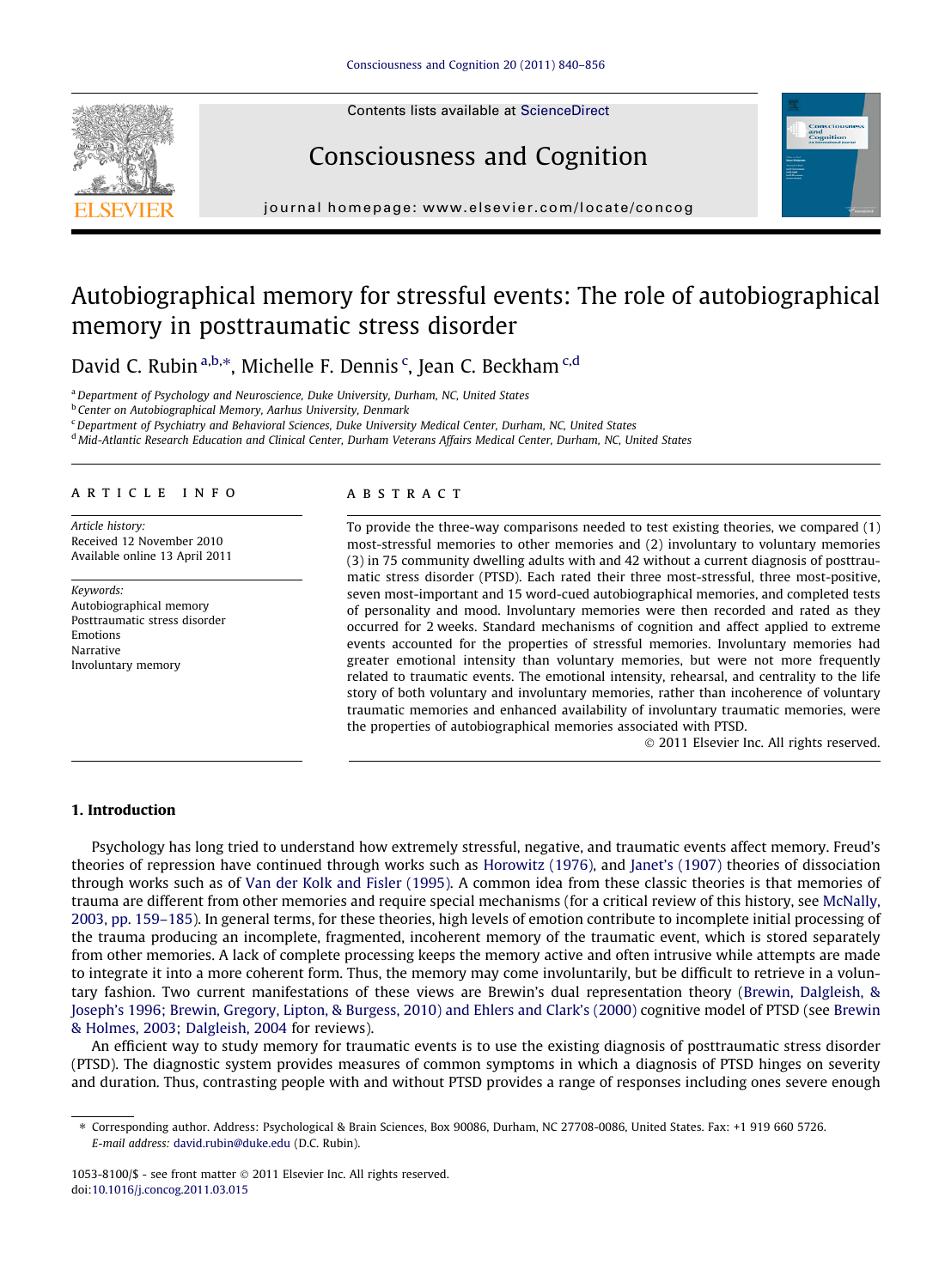Contents lists available at [ScienceDirect](http://www.sciencedirect.com/science/journal/10538100)







journal homepage: [www.elsevier.com/locate/concog](http://www.elsevier.com/locate/concog)

# Autobiographical memory for stressful events: The role of autobiographical memory in posttraumatic stress disorder

David C. Rubin<sup>a,b,\*</sup>, Michelle F. Dennis<sup>c</sup>, Jean C. Beckham<sup>c,d</sup>

<sup>a</sup> Department of Psychology and Neuroscience, Duke University, Durham, NC, United States

**b Center on Autobiographical Memory, Aarhus University, Denmark** 

<sup>c</sup> Department of Psychiatry and Behavioral Sciences, Duke University Medical Center, Durham, NC, United States

<sup>d</sup> Mid-Atlantic Research Education and Clinical Center, Durham Veterans Affairs Medical Center, Durham, NC, United States

#### article info

Article history: Received 12 November 2010 Available online 13 April 2011

Keywords: Autobiographical memory Posttraumatic stress disorder Emotions Narrative Involuntary memory

## ABSTRACT

To provide the three-way comparisons needed to test existing theories, we compared (1) most-stressful memories to other memories and (2) involuntary to voluntary memories (3) in 75 community dwelling adults with and 42 without a current diagnosis of posttraumatic stress disorder (PTSD). Each rated their three most-stressful, three most-positive, seven most-important and 15 word-cued autobiographical memories, and completed tests of personality and mood. Involuntary memories were then recorded and rated as they occurred for 2 weeks. Standard mechanisms of cognition and affect applied to extreme events accounted for the properties of stressful memories. Involuntary memories had greater emotional intensity than voluntary memories, but were not more frequently related to traumatic events. The emotional intensity, rehearsal, and centrality to the life story of both voluntary and involuntary memories, rather than incoherence of voluntary traumatic memories and enhanced availability of involuntary traumatic memories, were the properties of autobiographical memories associated with PTSD.

- 2011 Elsevier Inc. All rights reserved.

## 1. Introduction

Psychology has long tried to understand how extremely stressful, negative, and traumatic events affect memory. Freud's theories of repression have continued through works such as [Horowitz \(1976\),](#page-15-0) and [Janet's \(1907\)](#page-15-0) theories of dissociation through works such as of [Van der Kolk and Fisler \(1995\)](#page-16-0). A common idea from these classic theories is that memories of trauma are different from other memories and require special mechanisms (for a critical review of this history, see [McNally,](#page-15-0) [2003, pp. 159–185](#page-15-0)). In general terms, for these theories, high levels of emotion contribute to incomplete initial processing of the trauma producing an incomplete, fragmented, incoherent memory of the traumatic event, which is stored separately from other memories. A lack of complete processing keeps the memory active and often intrusive while attempts are made to integrate it into a more coherent form. Thus, the memory may come involuntarily, but be difficult to retrieve in a voluntary fashion. Two current manifestations of these views are Brewin's dual representation theory ([Brewin, Dalgleish, &](#page-15-0) [Joseph's 1996; Brewin, Gregory, Lipton, & Burgess, 2010\) and Ehlers and Clark's \(2000\)](#page-15-0) cognitive model of PTSD (see [Brewin](#page-15-0) [& Holmes, 2003; Dalgleish, 2004](#page-15-0) for reviews).

An efficient way to study memory for traumatic events is to use the existing diagnosis of posttraumatic stress disorder (PTSD). The diagnostic system provides measures of common symptoms in which a diagnosis of PTSD hinges on severity and duration. Thus, contrasting people with and without PTSD provides a range of responses including ones severe enough

<sup>⇑</sup> Corresponding author. Address: Psychological & Brain Sciences, Box 90086, Durham, NC 27708-0086, United States. Fax: +1 919 660 5726. E-mail address: [david.rubin@duke.edu](mailto:david.rubin@duke.edu) (D.C. Rubin).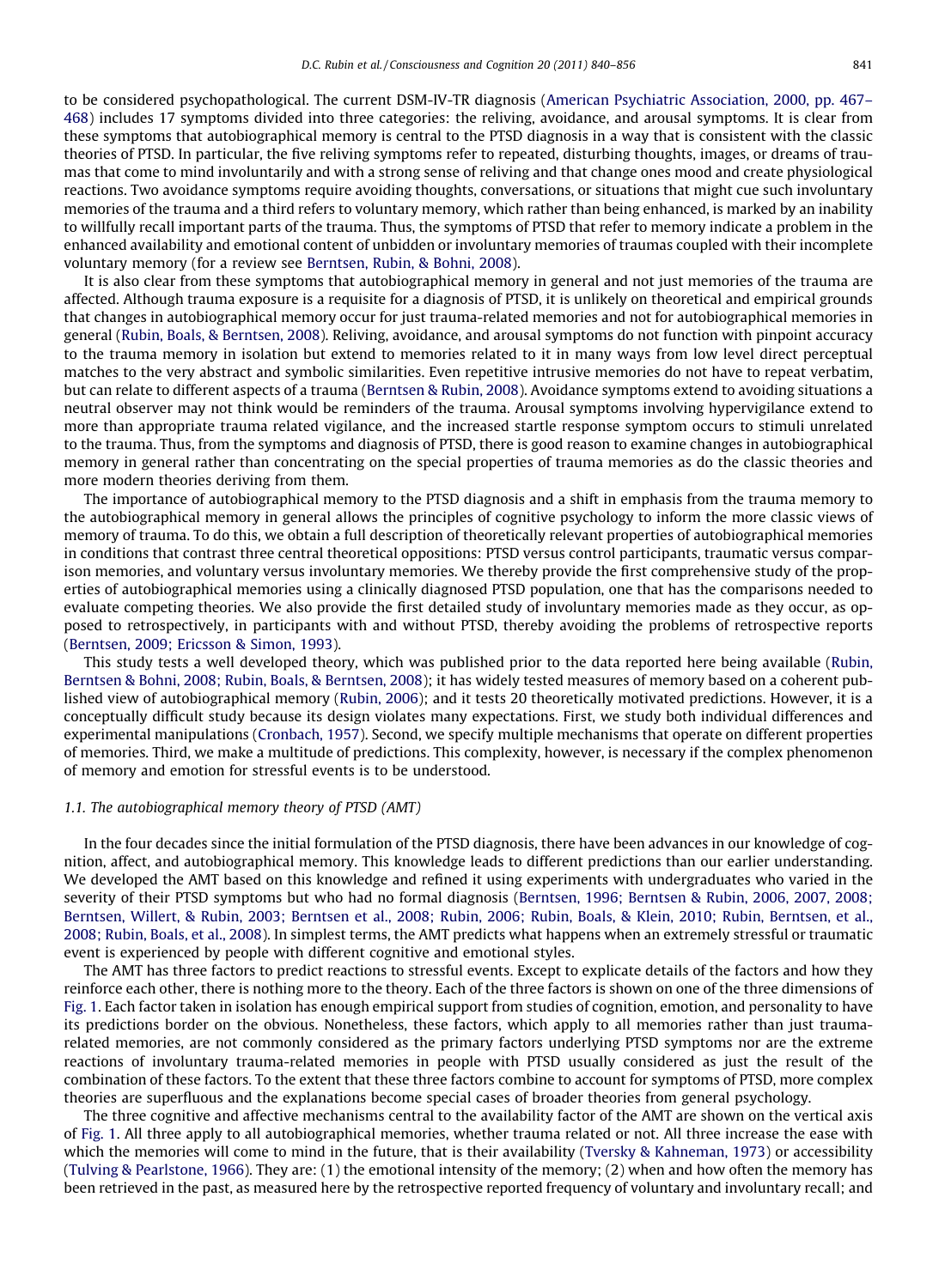to be considered psychopathological. The current DSM-IV-TR diagnosis ([American Psychiatric Association, 2000, pp. 467–](#page-15-0) [468](#page-15-0)) includes 17 symptoms divided into three categories: the reliving, avoidance, and arousal symptoms. It is clear from these symptoms that autobiographical memory is central to the PTSD diagnosis in a way that is consistent with the classic theories of PTSD. In particular, the five reliving symptoms refer to repeated, disturbing thoughts, images, or dreams of traumas that come to mind involuntarily and with a strong sense of reliving and that change ones mood and create physiological reactions. Two avoidance symptoms require avoiding thoughts, conversations, or situations that might cue such involuntary memories of the trauma and a third refers to voluntary memory, which rather than being enhanced, is marked by an inability to willfully recall important parts of the trauma. Thus, the symptoms of PTSD that refer to memory indicate a problem in the enhanced availability and emotional content of unbidden or involuntary memories of traumas coupled with their incomplete voluntary memory (for a review see [Berntsen, Rubin, & Bohni, 2008](#page-15-0)).

It is also clear from these symptoms that autobiographical memory in general and not just memories of the trauma are affected. Although trauma exposure is a requisite for a diagnosis of PTSD, it is unlikely on theoretical and empirical grounds that changes in autobiographical memory occur for just trauma-related memories and not for autobiographical memories in general [\(Rubin, Boals, & Berntsen, 2008](#page-16-0)). Reliving, avoidance, and arousal symptoms do not function with pinpoint accuracy to the trauma memory in isolation but extend to memories related to it in many ways from low level direct perceptual matches to the very abstract and symbolic similarities. Even repetitive intrusive memories do not have to repeat verbatim, but can relate to different aspects of a trauma [\(Berntsen & Rubin, 2008](#page-15-0)). Avoidance symptoms extend to avoiding situations a neutral observer may not think would be reminders of the trauma. Arousal symptoms involving hypervigilance extend to more than appropriate trauma related vigilance, and the increased startle response symptom occurs to stimuli unrelated to the trauma. Thus, from the symptoms and diagnosis of PTSD, there is good reason to examine changes in autobiographical memory in general rather than concentrating on the special properties of trauma memories as do the classic theories and more modern theories deriving from them.

The importance of autobiographical memory to the PTSD diagnosis and a shift in emphasis from the trauma memory to the autobiographical memory in general allows the principles of cognitive psychology to inform the more classic views of memory of trauma. To do this, we obtain a full description of theoretically relevant properties of autobiographical memories in conditions that contrast three central theoretical oppositions: PTSD versus control participants, traumatic versus comparison memories, and voluntary versus involuntary memories. We thereby provide the first comprehensive study of the properties of autobiographical memories using a clinically diagnosed PTSD population, one that has the comparisons needed to evaluate competing theories. We also provide the first detailed study of involuntary memories made as they occur, as opposed to retrospectively, in participants with and without PTSD, thereby avoiding the problems of retrospective reports ([Berntsen, 2009; Ericsson & Simon, 1993\)](#page-15-0).

This study tests a well developed theory, which was published prior to the data reported here being available [\(Rubin,](#page-15-0) [Berntsen & Bohni, 2008; Rubin, Boals, & Berntsen, 2008\)](#page-15-0); it has widely tested measures of memory based on a coherent published view of autobiographical memory ([Rubin, 2006](#page-15-0)); and it tests 20 theoretically motivated predictions. However, it is a conceptually difficult study because its design violates many expectations. First, we study both individual differences and experimental manipulations ([Cronbach, 1957](#page-15-0)). Second, we specify multiple mechanisms that operate on different properties of memories. Third, we make a multitude of predictions. This complexity, however, is necessary if the complex phenomenon of memory and emotion for stressful events is to be understood.

## 1.1. The autobiographical memory theory of PTSD (AMT)

In the four decades since the initial formulation of the PTSD diagnosis, there have been advances in our knowledge of cognition, affect, and autobiographical memory. This knowledge leads to different predictions than our earlier understanding. We developed the AMT based on this knowledge and refined it using experiments with undergraduates who varied in the severity of their PTSD symptoms but who had no formal diagnosis [\(Berntsen, 1996; Berntsen & Rubin, 2006, 2007, 2008;](#page-15-0) [Berntsen, Willert, & Rubin, 2003; Berntsen et al., 2008; Rubin, 2006; Rubin, Boals, & Klein, 2010; Rubin, Berntsen, et al.,](#page-15-0) [2008; Rubin, Boals, et al., 2008](#page-15-0)). In simplest terms, the AMT predicts what happens when an extremely stressful or traumatic event is experienced by people with different cognitive and emotional styles.

The AMT has three factors to predict reactions to stressful events. Except to explicate details of the factors and how they reinforce each other, there is nothing more to the theory. Each of the three factors is shown on one of the three dimensions of [Fig. 1](#page-2-0). Each factor taken in isolation has enough empirical support from studies of cognition, emotion, and personality to have its predictions border on the obvious. Nonetheless, these factors, which apply to all memories rather than just traumarelated memories, are not commonly considered as the primary factors underlying PTSD symptoms nor are the extreme reactions of involuntary trauma-related memories in people with PTSD usually considered as just the result of the combination of these factors. To the extent that these three factors combine to account for symptoms of PTSD, more complex theories are superfluous and the explanations become special cases of broader theories from general psychology.

The three cognitive and affective mechanisms central to the availability factor of the AMT are shown on the vertical axis of [Fig. 1](#page-2-0). All three apply to all autobiographical memories, whether trauma related or not. All three increase the ease with which the memories will come to mind in the future, that is their availability [\(Tversky & Kahneman, 1973](#page-16-0)) or accessibility ([Tulving & Pearlstone, 1966\)](#page-16-0). They are: (1) the emotional intensity of the memory; (2) when and how often the memory has been retrieved in the past, as measured here by the retrospective reported frequency of voluntary and involuntary recall; and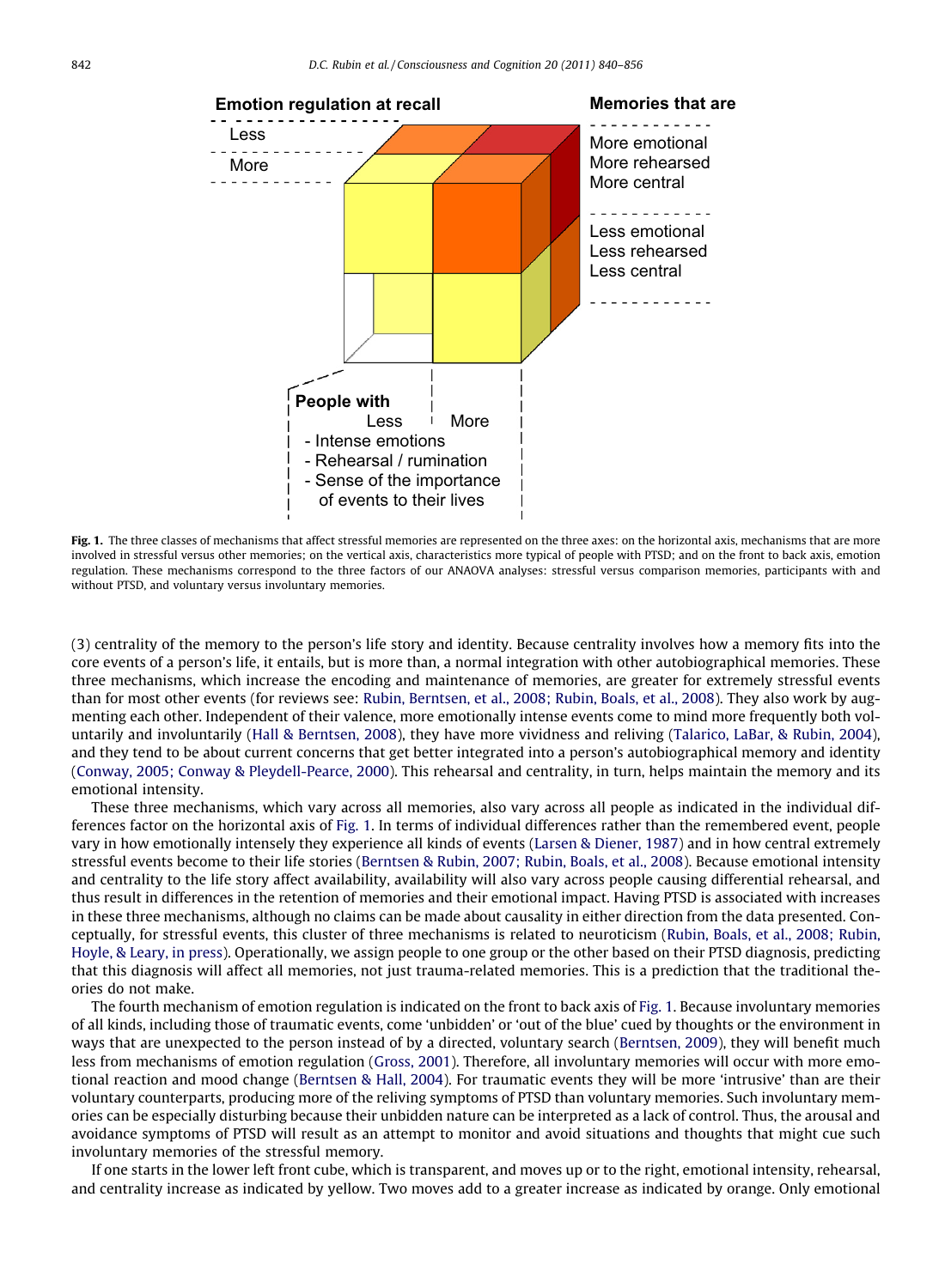<span id="page-2-0"></span>

Fig. 1. The three classes of mechanisms that affect stressful memories are represented on the three axes: on the horizontal axis, mechanisms that are more involved in stressful versus other memories; on the vertical axis, characteristics more typical of people with PTSD; and on the front to back axis, emotion regulation. These mechanisms correspond to the three factors of our ANAOVA analyses: stressful versus comparison memories, participants with and without PTSD, and voluntary versus involuntary memories.

(3) centrality of the memory to the person's life story and identity. Because centrality involves how a memory fits into the core events of a person's life, it entails, but is more than, a normal integration with other autobiographical memories. These three mechanisms, which increase the encoding and maintenance of memories, are greater for extremely stressful events than for most other events (for reviews see: [Rubin, Berntsen, et al., 2008; Rubin, Boals, et al., 2008\)](#page-15-0). They also work by augmenting each other. Independent of their valence, more emotionally intense events come to mind more frequently both voluntarily and involuntarily [\(Hall & Berntsen, 2008\)](#page-15-0), they have more vividness and reliving [\(Talarico, LaBar, & Rubin, 2004\)](#page-16-0), and they tend to be about current concerns that get better integrated into a person's autobiographical memory and identity [\(Conway, 2005; Conway & Pleydell-Pearce, 2000](#page-15-0)). This rehearsal and centrality, in turn, helps maintain the memory and its emotional intensity.

These three mechanisms, which vary across all memories, also vary across all people as indicated in the individual differences factor on the horizontal axis of Fig. 1. In terms of individual differences rather than the remembered event, people vary in how emotionally intensely they experience all kinds of events [\(Larsen & Diener, 1987\)](#page-15-0) and in how central extremely stressful events become to their life stories [\(Berntsen & Rubin, 2007; Rubin, Boals, et al., 2008\)](#page-15-0). Because emotional intensity and centrality to the life story affect availability, availability will also vary across people causing differential rehearsal, and thus result in differences in the retention of memories and their emotional impact. Having PTSD is associated with increases in these three mechanisms, although no claims can be made about causality in either direction from the data presented. Conceptually, for stressful events, this cluster of three mechanisms is related to neuroticism [\(Rubin, Boals, et al., 2008; Rubin,](#page-16-0) [Hoyle, & Leary, in press](#page-16-0)). Operationally, we assign people to one group or the other based on their PTSD diagnosis, predicting that this diagnosis will affect all memories, not just trauma-related memories. This is a prediction that the traditional theories do not make.

The fourth mechanism of emotion regulation is indicated on the front to back axis of Fig. 1. Because involuntary memories of all kinds, including those of traumatic events, come 'unbidden' or 'out of the blue' cued by thoughts or the environment in ways that are unexpected to the person instead of by a directed, voluntary search [\(Berntsen, 2009\)](#page-15-0), they will benefit much less from mechanisms of emotion regulation ([Gross, 2001\)](#page-15-0). Therefore, all involuntary memories will occur with more emotional reaction and mood change [\(Berntsen & Hall, 2004\)](#page-15-0). For traumatic events they will be more 'intrusive' than are their voluntary counterparts, producing more of the reliving symptoms of PTSD than voluntary memories. Such involuntary memories can be especially disturbing because their unbidden nature can be interpreted as a lack of control. Thus, the arousal and avoidance symptoms of PTSD will result as an attempt to monitor and avoid situations and thoughts that might cue such involuntary memories of the stressful memory.

If one starts in the lower left front cube, which is transparent, and moves up or to the right, emotional intensity, rehearsal, and centrality increase as indicated by yellow. Two moves add to a greater increase as indicated by orange. Only emotional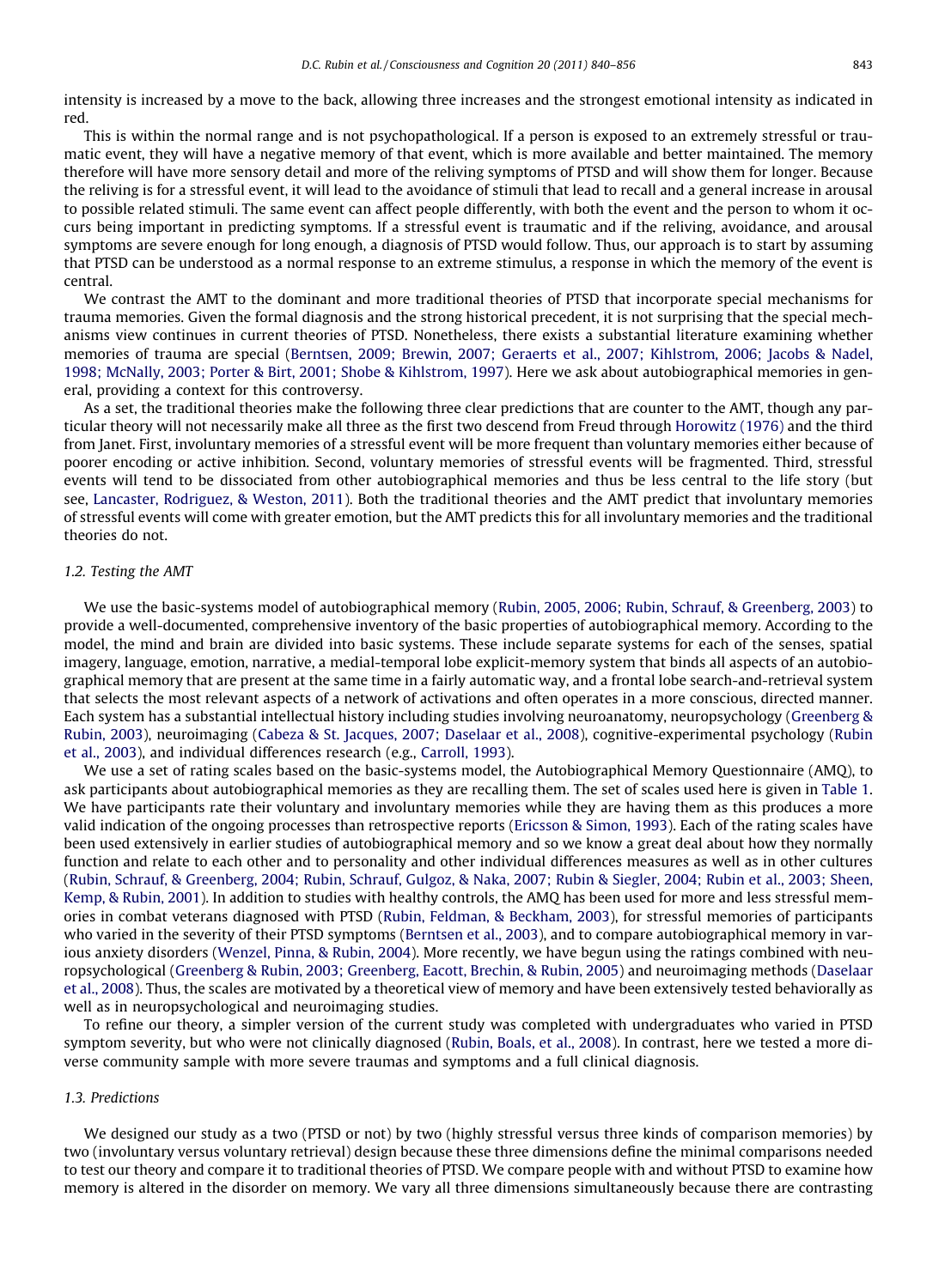intensity is increased by a move to the back, allowing three increases and the strongest emotional intensity as indicated in red.

This is within the normal range and is not psychopathological. If a person is exposed to an extremely stressful or traumatic event, they will have a negative memory of that event, which is more available and better maintained. The memory therefore will have more sensory detail and more of the reliving symptoms of PTSD and will show them for longer. Because the reliving is for a stressful event, it will lead to the avoidance of stimuli that lead to recall and a general increase in arousal to possible related stimuli. The same event can affect people differently, with both the event and the person to whom it occurs being important in predicting symptoms. If a stressful event is traumatic and if the reliving, avoidance, and arousal symptoms are severe enough for long enough, a diagnosis of PTSD would follow. Thus, our approach is to start by assuming that PTSD can be understood as a normal response to an extreme stimulus, a response in which the memory of the event is central.

We contrast the AMT to the dominant and more traditional theories of PTSD that incorporate special mechanisms for trauma memories. Given the formal diagnosis and the strong historical precedent, it is not surprising that the special mechanisms view continues in current theories of PTSD. Nonetheless, there exists a substantial literature examining whether memories of trauma are special ([Berntsen, 2009; Brewin, 2007; Geraerts et al., 2007; Kihlstrom, 2006; Jacobs & Nadel,](#page-15-0) [1998; McNally, 2003; Porter & Birt, 2001; Shobe & Kihlstrom, 1997](#page-15-0)). Here we ask about autobiographical memories in general, providing a context for this controversy.

As a set, the traditional theories make the following three clear predictions that are counter to the AMT, though any particular theory will not necessarily make all three as the first two descend from Freud through [Horowitz \(1976\)](#page-15-0) and the third from Janet. First, involuntary memories of a stressful event will be more frequent than voluntary memories either because of poorer encoding or active inhibition. Second, voluntary memories of stressful events will be fragmented. Third, stressful events will tend to be dissociated from other autobiographical memories and thus be less central to the life story (but see, [Lancaster, Rodriguez, & Weston, 2011](#page-15-0)). Both the traditional theories and the AMT predict that involuntary memories of stressful events will come with greater emotion, but the AMT predicts this for all involuntary memories and the traditional theories do not.

## 1.2. Testing the AMT

We use the basic-systems model of autobiographical memory [\(Rubin, 2005, 2006; Rubin, Schrauf, & Greenberg, 2003](#page-15-0)) to provide a well-documented, comprehensive inventory of the basic properties of autobiographical memory. According to the model, the mind and brain are divided into basic systems. These include separate systems for each of the senses, spatial imagery, language, emotion, narrative, a medial-temporal lobe explicit-memory system that binds all aspects of an autobiographical memory that are present at the same time in a fairly automatic way, and a frontal lobe search-and-retrieval system that selects the most relevant aspects of a network of activations and often operates in a more conscious, directed manner. Each system has a substantial intellectual history including studies involving neuroanatomy, neuropsychology [\(Greenberg &](#page-15-0) [Rubin, 2003\)](#page-15-0), neuroimaging ([Cabeza & St. Jacques, 2007; Daselaar et al., 2008](#page-15-0)), cognitive-experimental psychology ([Rubin](#page-16-0) [et al., 2003\)](#page-16-0), and individual differences research (e.g., [Carroll, 1993\)](#page-15-0).

We use a set of rating scales based on the basic-systems model, the Autobiographical Memory Questionnaire (AMQ), to ask participants about autobiographical memories as they are recalling them. The set of scales used here is given in [Table 1](#page-4-0). We have participants rate their voluntary and involuntary memories while they are having them as this produces a more valid indication of the ongoing processes than retrospective reports [\(Ericsson & Simon, 1993\)](#page-15-0). Each of the rating scales have been used extensively in earlier studies of autobiographical memory and so we know a great deal about how they normally function and relate to each other and to personality and other individual differences measures as well as in other cultures ([Rubin, Schrauf, & Greenberg, 2004; Rubin, Schrauf, Gulgoz, & Naka, 2007; Rubin & Siegler, 2004; Rubin et al., 2003; Sheen,](#page-16-0) [Kemp, & Rubin, 2001\)](#page-16-0). In addition to studies with healthy controls, the AMQ has been used for more and less stressful memories in combat veterans diagnosed with PTSD ([Rubin, Feldman, & Beckham, 2003](#page-16-0)), for stressful memories of participants who varied in the severity of their PTSD symptoms ([Berntsen et al., 2003](#page-15-0)), and to compare autobiographical memory in various anxiety disorders ([Wenzel, Pinna, & Rubin, 2004\)](#page-16-0). More recently, we have begun using the ratings combined with neuropsychological [\(Greenberg & Rubin, 2003; Greenberg, Eacott, Brechin, & Rubin, 2005\)](#page-15-0) and neuroimaging methods ([Daselaar](#page-15-0) [et al., 2008](#page-15-0)). Thus, the scales are motivated by a theoretical view of memory and have been extensively tested behaviorally as well as in neuropsychological and neuroimaging studies.

To refine our theory, a simpler version of the current study was completed with undergraduates who varied in PTSD symptom severity, but who were not clinically diagnosed [\(Rubin, Boals, et al., 2008\)](#page-16-0). In contrast, here we tested a more diverse community sample with more severe traumas and symptoms and a full clinical diagnosis.

#### 1.3. Predictions

We designed our study as a two (PTSD or not) by two (highly stressful versus three kinds of comparison memories) by two (involuntary versus voluntary retrieval) design because these three dimensions define the minimal comparisons needed to test our theory and compare it to traditional theories of PTSD. We compare people with and without PTSD to examine how memory is altered in the disorder on memory. We vary all three dimensions simultaneously because there are contrasting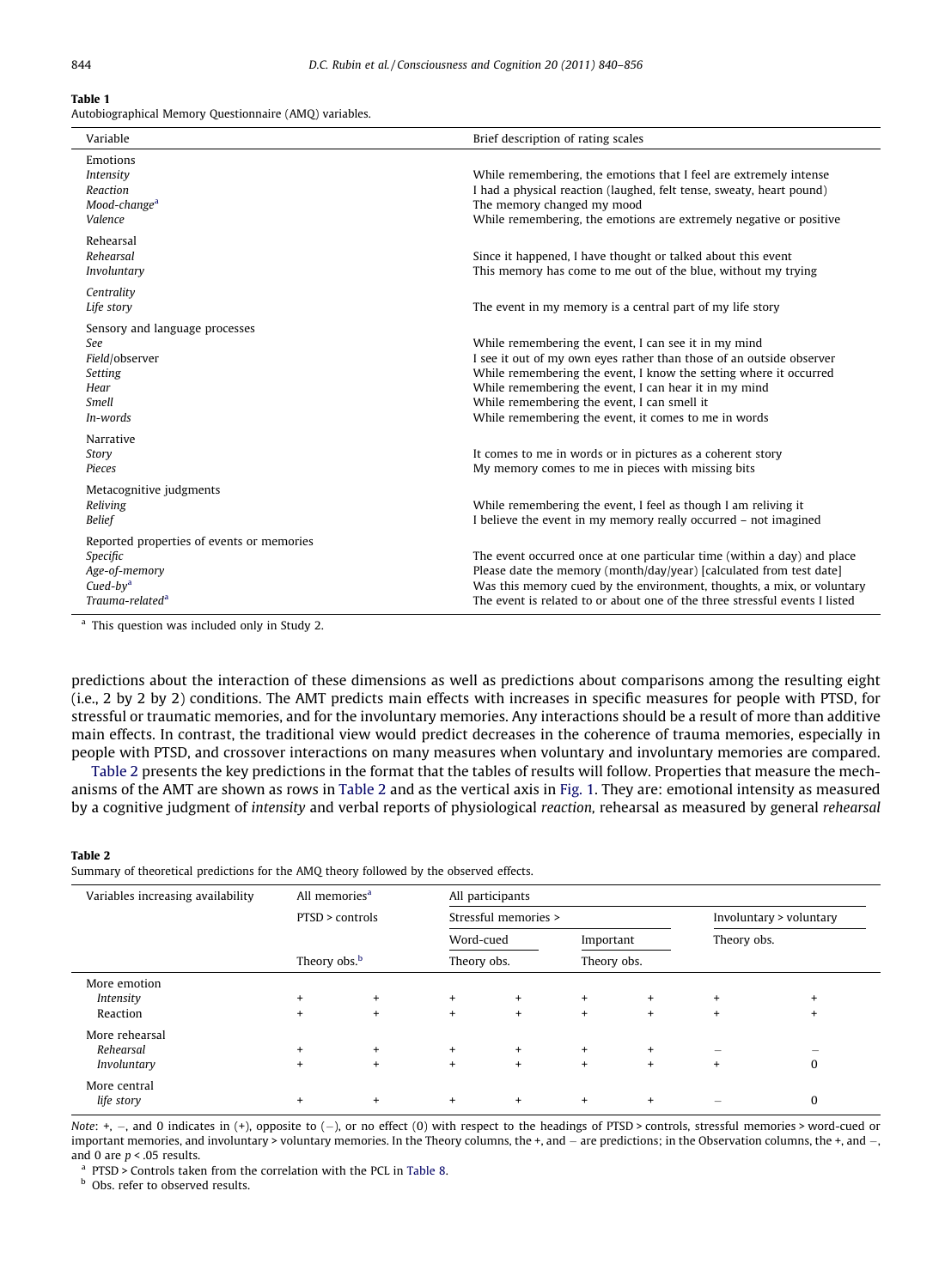<span id="page-4-0"></span>Autobiographical Memory Questionnaire (AMQ) variables.

| Variable                                                                                                             | Brief description of rating scales                                                                                                                                                                                                                                                                                                                                |
|----------------------------------------------------------------------------------------------------------------------|-------------------------------------------------------------------------------------------------------------------------------------------------------------------------------------------------------------------------------------------------------------------------------------------------------------------------------------------------------------------|
| Emotions<br>Intensity<br>Reaction<br>Mood-change <sup>a</sup><br>Valence                                             | While remembering, the emotions that I feel are extremely intense<br>I had a physical reaction (laughed, felt tense, sweaty, heart pound)<br>The memory changed my mood<br>While remembering, the emotions are extremely negative or positive                                                                                                                     |
| Rehearsal<br>Rehearsal<br>Involuntary                                                                                | Since it happened, I have thought or talked about this event<br>This memory has come to me out of the blue, without my trying                                                                                                                                                                                                                                     |
| Centrality<br>Life story                                                                                             | The event in my memory is a central part of my life story                                                                                                                                                                                                                                                                                                         |
| Sensory and language processes<br>See<br>Field/observer<br>Setting<br>Hear<br>Smell<br>In-words                      | While remembering the event, I can see it in my mind<br>I see it out of my own eyes rather than those of an outside observer<br>While remembering the event, I know the setting where it occurred<br>While remembering the event, I can hear it in my mind<br>While remembering the event, I can smell it<br>While remembering the event, it comes to me in words |
| Narrative<br>Story<br>Pieces                                                                                         | It comes to me in words or in pictures as a coherent story<br>My memory comes to me in pieces with missing bits                                                                                                                                                                                                                                                   |
| Metacognitive judgments<br>Reliving<br><b>Belief</b>                                                                 | While remembering the event, I feel as though I am reliving it<br>I believe the event in my memory really occurred - not imagined                                                                                                                                                                                                                                 |
| Reported properties of events or memories<br>Specific<br>Age-of-memory<br>Cued-by $a$<br>Trauma-related <sup>a</sup> | The event occurred once at one particular time (within a day) and place<br>Please date the memory (month/day/year) [calculated from test date]<br>Was this memory cued by the environment, thoughts, a mix, or voluntary<br>The event is related to or about one of the three stressful events I listed                                                           |

<sup>a</sup> This question was included only in Study 2.

predictions about the interaction of these dimensions as well as predictions about comparisons among the resulting eight (i.e., 2 by 2 by 2) conditions. The AMT predicts main effects with increases in specific measures for people with PTSD, for stressful or traumatic memories, and for the involuntary memories. Any interactions should be a result of more than additive main effects. In contrast, the traditional view would predict decreases in the coherence of trauma memories, especially in people with PTSD, and crossover interactions on many measures when voluntary and involuntary memories are compared.

Table 2 presents the key predictions in the format that the tables of results will follow. Properties that measure the mechanisms of the AMT are shown as rows in Table 2 and as the vertical axis in [Fig. 1.](#page-2-0) They are: emotional intensity as measured by a cognitive judgment of intensity and verbal reports of physiological reaction, rehearsal as measured by general rehearsal

#### Table 2

Summary of theoretical predictions for the AMQ theory followed by the observed effects.

| Variables increasing availability | All memories <sup>a</sup> |                                         | All participants |                      |                  |                        |                         |             |  |  |
|-----------------------------------|---------------------------|-----------------------------------------|------------------|----------------------|------------------|------------------------|-------------------------|-------------|--|--|
|                                   | PTSD > controls           |                                         |                  | Stressful memories > |                  |                        | Involuntary > voluntary |             |  |  |
|                                   |                           | Theory obs. <sup>b</sup><br>Theory obs. |                  | Word-cued            |                  | Important              |                         | Theory obs. |  |  |
|                                   |                           |                                         |                  |                      | Theory obs.      |                        |                         |             |  |  |
| More emotion<br>Intensity         | $+$                       | $+$                                     | $+$<br>$+$       | $+$                  | $+$              | $\ddot{}$              | $+$                     |             |  |  |
| Reaction<br>More rehearsal        |                           | $+$                                     |                  | $+$                  | $+$              | $\ddot{}$              | $+$                     |             |  |  |
| Rehearsal<br>Involuntary          | $+$<br>$\ddot{}$          | $+$<br>$+$                              | $+$<br>$+$       | $+$<br>$+$           | $+$<br>$\ddot{}$ | $\ddot{}$<br>$\ddot{}$ | $+$                     | $\Omega$    |  |  |
| More central<br>life story        | $\ddot{}$                 | $^{+}$                                  | $+$              | $+$                  | $+$              | $\ddot{}$              |                         | $\Omega$    |  |  |

Note: +, -, and 0 indicates in (+), opposite to (-), or no effect (0) with respect to the headings of PTSD > controls, stressful memories > word-cued or important memories, and involuntary > voluntary memories. In the Theory columns, the +, and  $-$  are predictions; in the Observation columns, the +, and  $$ and 0 are  $p < .05$  results.

<sup>a</sup> PTSD > Controls taken from the correlation with the PCL in [Table 8.](#page-13-0)

**b** Obs. refer to observed results.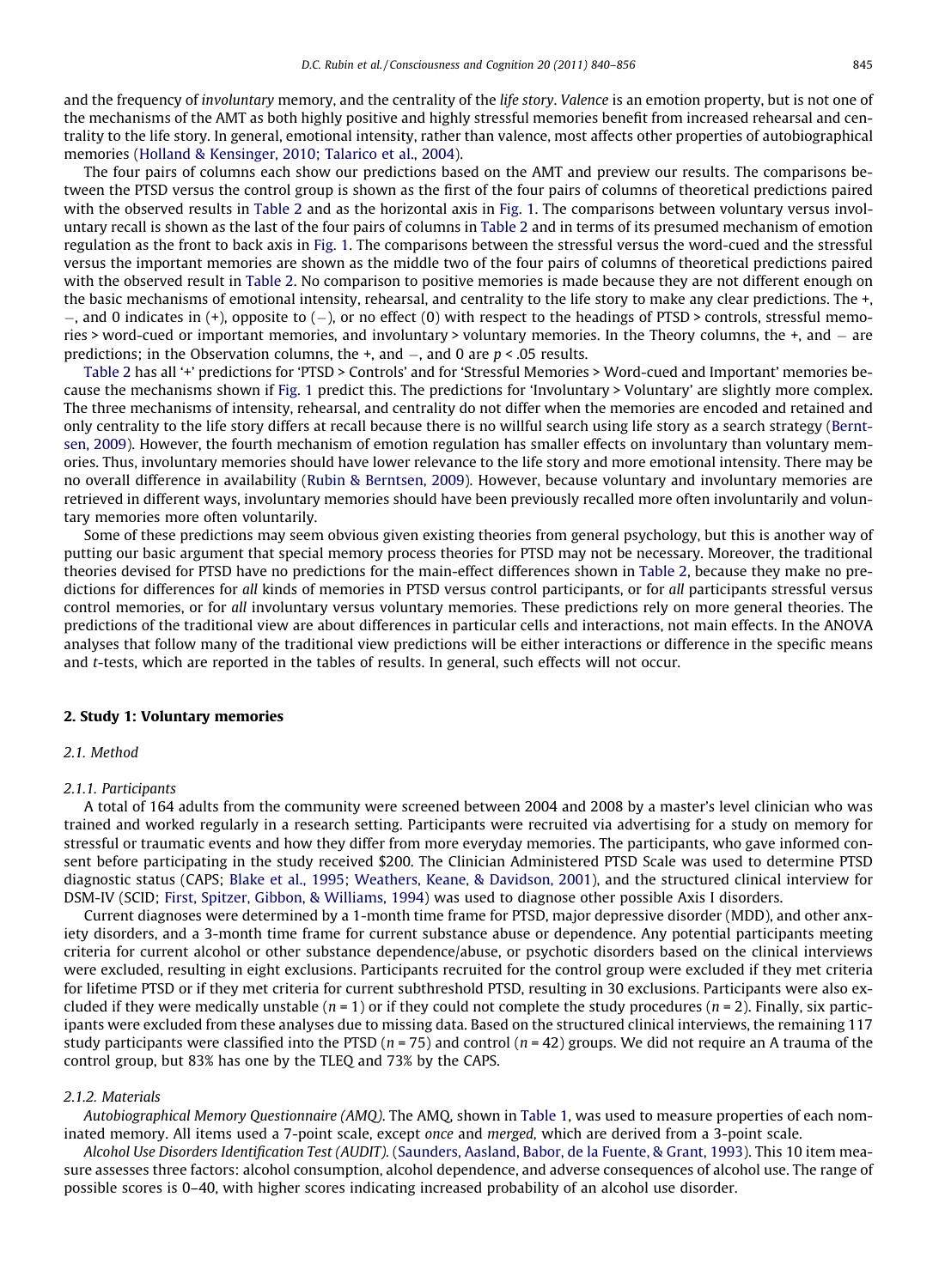and the frequency of involuntary memory, and the centrality of the life story. Valence is an emotion property, but is not one of the mechanisms of the AMT as both highly positive and highly stressful memories benefit from increased rehearsal and centrality to the life story. In general, emotional intensity, rather than valence, most affects other properties of autobiographical memories [\(Holland & Kensinger, 2010; Talarico et al., 2004](#page-15-0)).

The four pairs of columns each show our predictions based on the AMT and preview our results. The comparisons between the PTSD versus the control group is shown as the first of the four pairs of columns of theoretical predictions paired with the observed results in [Table 2](#page-4-0) and as the horizontal axis in [Fig. 1](#page-2-0). The comparisons between voluntary versus involuntary recall is shown as the last of the four pairs of columns in [Table 2](#page-4-0) and in terms of its presumed mechanism of emotion regulation as the front to back axis in [Fig. 1](#page-2-0). The comparisons between the stressful versus the word-cued and the stressful versus the important memories are shown as the middle two of the four pairs of columns of theoretical predictions paired with the observed result in [Table 2](#page-4-0). No comparison to positive memories is made because they are not different enough on the basic mechanisms of emotional intensity, rehearsal, and centrality to the life story to make any clear predictions. The +, -, and 0 indicates in (+), opposite to (-), or no effect (0) with respect to the headings of PTSD > controls, stressful memories > word-cued or important memories, and involuntary > voluntary memories. In the Theory columns, the +, and – are predictions; in the Observation columns, the +, and  $-$ , and 0 are  $p$  < .05 results.

[Table 2](#page-4-0) has all '+' predictions for 'PTSD > Controls' and for 'Stressful Memories > Word-cued and Important' memories because the mechanisms shown if [Fig. 1](#page-2-0) predict this. The predictions for 'Involuntary > Voluntary' are slightly more complex. The three mechanisms of intensity, rehearsal, and centrality do not differ when the memories are encoded and retained and only centrality to the life story differs at recall because there is no willful search using life story as a search strategy [\(Bernt](#page-15-0)[sen, 2009\)](#page-15-0). However, the fourth mechanism of emotion regulation has smaller effects on involuntary than voluntary memories. Thus, involuntary memories should have lower relevance to the life story and more emotional intensity. There may be no overall difference in availability ([Rubin & Berntsen, 2009\)](#page-15-0). However, because voluntary and involuntary memories are retrieved in different ways, involuntary memories should have been previously recalled more often involuntarily and voluntary memories more often voluntarily.

Some of these predictions may seem obvious given existing theories from general psychology, but this is another way of putting our basic argument that special memory process theories for PTSD may not be necessary. Moreover, the traditional theories devised for PTSD have no predictions for the main-effect differences shown in [Table 2](#page-4-0), because they make no predictions for differences for all kinds of memories in PTSD versus control participants, or for all participants stressful versus control memories, or for all involuntary versus voluntary memories. These predictions rely on more general theories. The predictions of the traditional view are about differences in particular cells and interactions, not main effects. In the ANOVA analyses that follow many of the traditional view predictions will be either interactions or difference in the specific means and t-tests, which are reported in the tables of results. In general, such effects will not occur.

#### 2. Study 1: Voluntary memories

#### 2.1. Method

#### 2.1.1. Participants

A total of 164 adults from the community were screened between 2004 and 2008 by a master's level clinician who was trained and worked regularly in a research setting. Participants were recruited via advertising for a study on memory for stressful or traumatic events and how they differ from more everyday memories. The participants, who gave informed consent before participating in the study received \$200. The Clinician Administered PTSD Scale was used to determine PTSD diagnostic status (CAPS; [Blake et al., 1995; Weathers, Keane, & Davidson, 2001\)](#page-15-0), and the structured clinical interview for DSM-IV (SCID; [First, Spitzer, Gibbon, & Williams, 1994](#page-15-0)) was used to diagnose other possible Axis I disorders.

Current diagnoses were determined by a 1-month time frame for PTSD, major depressive disorder (MDD), and other anxiety disorders, and a 3-month time frame for current substance abuse or dependence. Any potential participants meeting criteria for current alcohol or other substance dependence/abuse, or psychotic disorders based on the clinical interviews were excluded, resulting in eight exclusions. Participants recruited for the control group were excluded if they met criteria for lifetime PTSD or if they met criteria for current subthreshold PTSD, resulting in 30 exclusions. Participants were also excluded if they were medically unstable  $(n = 1)$  or if they could not complete the study procedures  $(n = 2)$ . Finally, six participants were excluded from these analyses due to missing data. Based on the structured clinical interviews, the remaining 117 study participants were classified into the PTSD ( $n = 75$ ) and control ( $n = 42$ ) groups. We did not require an A trauma of the control group, but 83% has one by the TLEQ and 73% by the CAPS.

#### 2.1.2. Materials

Autobiographical Memory Questionnaire (AMQ). The AMQ, shown in [Table 1,](#page-4-0) was used to measure properties of each nominated memory. All items used a 7-point scale, except once and merged, which are derived from a 3-point scale.

Alcohol Use Disorders Identification Test (AUDIT). [\(Saunders, Aasland, Babor, de la Fuente, & Grant, 1993](#page-16-0)). This 10 item measure assesses three factors: alcohol consumption, alcohol dependence, and adverse consequences of alcohol use. The range of possible scores is 0–40, with higher scores indicating increased probability of an alcohol use disorder.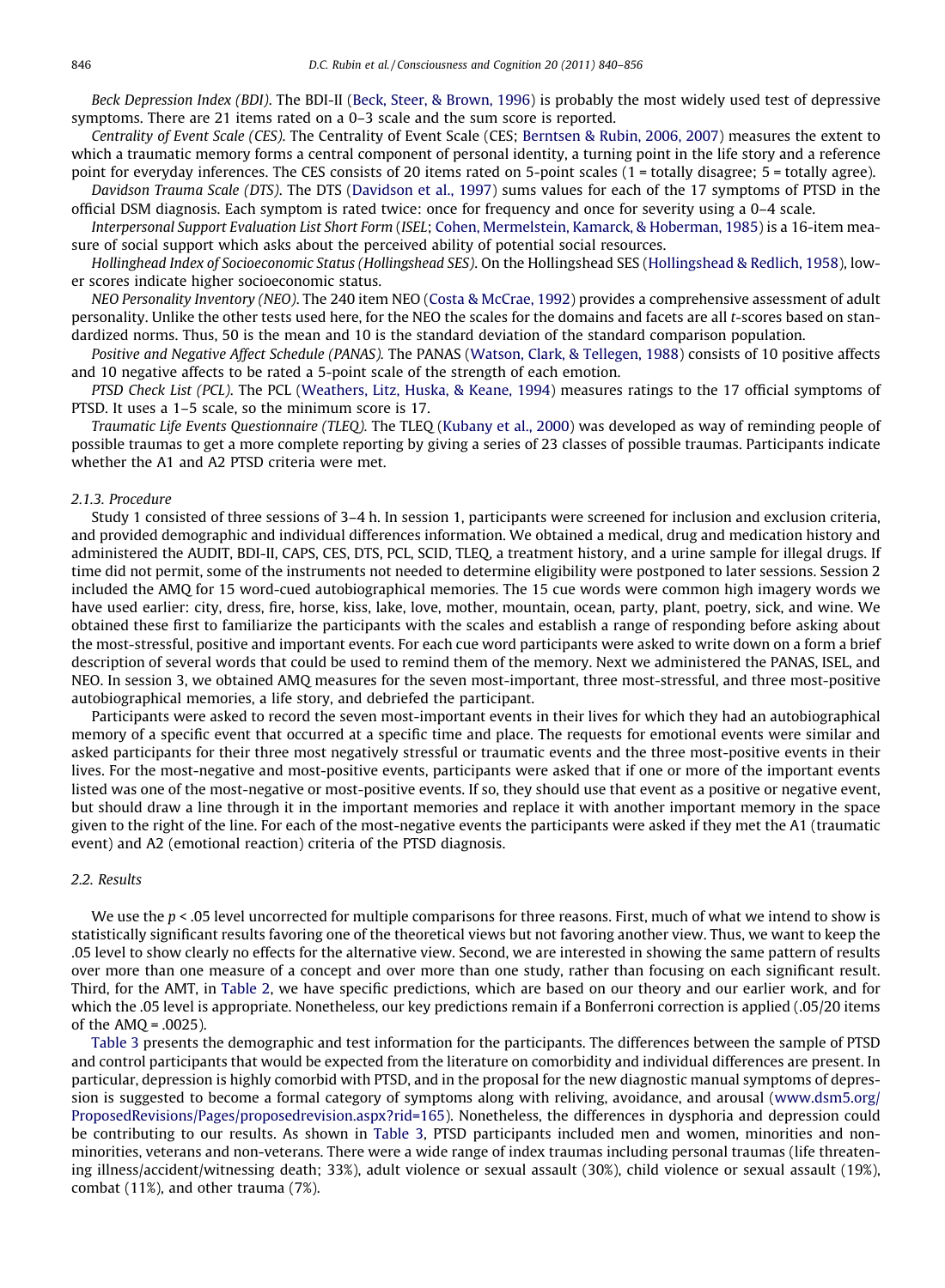Beck Depression Index (BDI). The BDI-II [\(Beck, Steer, & Brown, 1996\)](#page-15-0) is probably the most widely used test of depressive symptoms. There are 21 items rated on a 0–3 scale and the sum score is reported.

Centrality of Event Scale (CES). The Centrality of Event Scale (CES; [Berntsen & Rubin, 2006, 2007](#page-15-0)) measures the extent to which a traumatic memory forms a central component of personal identity, a turning point in the life story and a reference point for everyday inferences. The CES consists of 20 items rated on 5-point scales (1 = totally disagree; 5 = totally agree).

Davidson Trauma Scale (DTS). The DTS ([Davidson et al., 1997\)](#page-15-0) sums values for each of the 17 symptoms of PTSD in the official DSM diagnosis. Each symptom is rated twice: once for frequency and once for severity using a 0–4 scale.

Interpersonal Support Evaluation List Short Form (ISEL; [Cohen, Mermelstein, Kamarck, & Hoberman, 1985\)](#page-15-0) is a 16-item measure of social support which asks about the perceived ability of potential social resources.

Hollinghead Index of Socioeconomic Status (Hollingshead SES). On the Hollingshead SES ([Hollingshead & Redlich, 1958](#page-15-0)), lower scores indicate higher socioeconomic status.

NEO Personality Inventory (NEO). The 240 item NEO [\(Costa & McCrae, 1992\)](#page-15-0) provides a comprehensive assessment of adult personality. Unlike the other tests used here, for the NEO the scales for the domains and facets are all t-scores based on standardized norms. Thus, 50 is the mean and 10 is the standard deviation of the standard comparison population.

Positive and Negative Affect Schedule (PANAS). The PANAS [\(Watson, Clark, & Tellegen, 1988](#page-16-0)) consists of 10 positive affects and 10 negative affects to be rated a 5-point scale of the strength of each emotion.

PTSD Check List (PCL). The PCL ([Weathers, Litz, Huska, & Keane, 1994](#page-16-0)) measures ratings to the 17 official symptoms of PTSD. It uses a 1–5 scale, so the minimum score is 17.

Traumatic Life Events Questionnaire (TLEQ). The TLEQ [\(Kubany et al., 2000](#page-15-0)) was developed as way of reminding people of possible traumas to get a more complete reporting by giving a series of 23 classes of possible traumas. Participants indicate whether the A1 and A2 PTSD criteria were met.

#### 2.1.3. Procedure

Study 1 consisted of three sessions of 3–4 h. In session 1, participants were screened for inclusion and exclusion criteria, and provided demographic and individual differences information. We obtained a medical, drug and medication history and administered the AUDIT, BDI-II, CAPS, CES, DTS, PCL, SCID, TLEQ, a treatment history, and a urine sample for illegal drugs. If time did not permit, some of the instruments not needed to determine eligibility were postponed to later sessions. Session 2 included the AMQ for 15 word-cued autobiographical memories. The 15 cue words were common high imagery words we have used earlier: city, dress, fire, horse, kiss, lake, love, mother, mountain, ocean, party, plant, poetry, sick, and wine. We obtained these first to familiarize the participants with the scales and establish a range of responding before asking about the most-stressful, positive and important events. For each cue word participants were asked to write down on a form a brief description of several words that could be used to remind them of the memory. Next we administered the PANAS, ISEL, and NEO. In session 3, we obtained AMQ measures for the seven most-important, three most-stressful, and three most-positive autobiographical memories, a life story, and debriefed the participant.

Participants were asked to record the seven most-important events in their lives for which they had an autobiographical memory of a specific event that occurred at a specific time and place. The requests for emotional events were similar and asked participants for their three most negatively stressful or traumatic events and the three most-positive events in their lives. For the most-negative and most-positive events, participants were asked that if one or more of the important events listed was one of the most-negative or most-positive events. If so, they should use that event as a positive or negative event, but should draw a line through it in the important memories and replace it with another important memory in the space given to the right of the line. For each of the most-negative events the participants were asked if they met the A1 (traumatic event) and A2 (emotional reaction) criteria of the PTSD diagnosis.

#### 2.2. Results

We use the  $p < 0.05$  level uncorrected for multiple comparisons for three reasons. First, much of what we intend to show is statistically significant results favoring one of the theoretical views but not favoring another view. Thus, we want to keep the .05 level to show clearly no effects for the alternative view. Second, we are interested in showing the same pattern of results over more than one measure of a concept and over more than one study, rather than focusing on each significant result. Third, for the AMT, in [Table 2,](#page-4-0) we have specific predictions, which are based on our theory and our earlier work, and for which the .05 level is appropriate. Nonetheless, our key predictions remain if a Bonferroni correction is applied (.05/20 items of the AMQ = .0025).

[Table 3](#page-7-0) presents the demographic and test information for the participants. The differences between the sample of PTSD and control participants that would be expected from the literature on comorbidity and individual differences are present. In particular, depression is highly comorbid with PTSD, and in the proposal for the new diagnostic manual symptoms of depression is suggested to become a formal category of symptoms along with reliving, avoidance, and arousal [\(www.dsm5.org/](http://www.dsm5.org/ProposedRevisions/Pages/proposedrevision.aspx?rid=165) [ProposedRevisions/Pages/proposedrevision.aspx?rid=165](http://www.dsm5.org/ProposedRevisions/Pages/proposedrevision.aspx?rid=165)). Nonetheless, the differences in dysphoria and depression could be contributing to our results. As shown in [Table 3](#page-7-0), PTSD participants included men and women, minorities and nonminorities, veterans and non-veterans. There were a wide range of index traumas including personal traumas (life threatening illness/accident/witnessing death; 33%), adult violence or sexual assault (30%), child violence or sexual assault (19%), combat (11%), and other trauma (7%).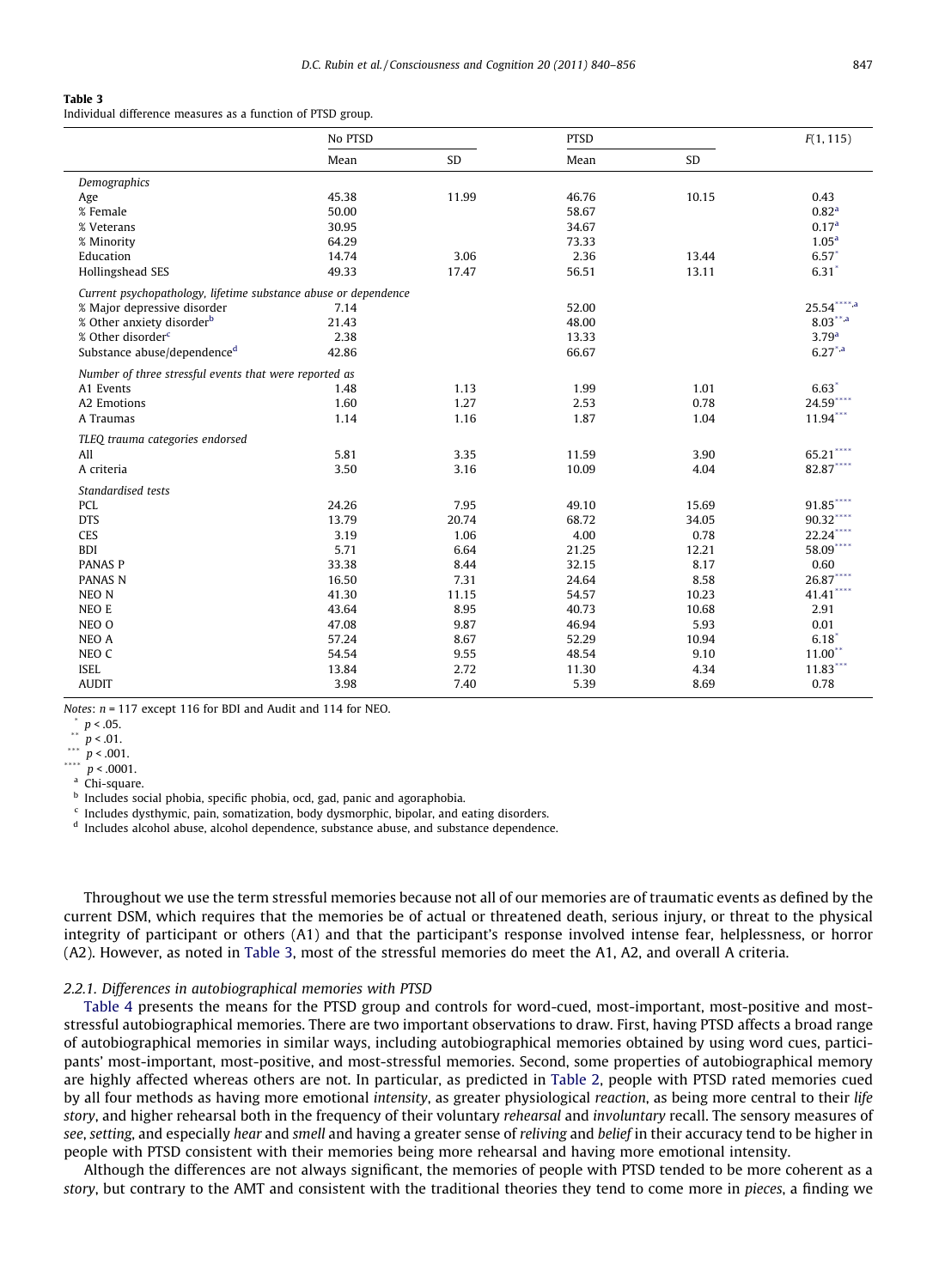<span id="page-7-0"></span>Individual difference measures as a function of PTSD group.

|                                                                 | No PTSD |           | <b>PTSD</b> |       | F(1, 115)               |
|-----------------------------------------------------------------|---------|-----------|-------------|-------|-------------------------|
|                                                                 | Mean    | <b>SD</b> | Mean        | SD    |                         |
| Demographics                                                    |         |           |             |       |                         |
| Age                                                             | 45.38   | 11.99     | 46.76       | 10.15 | 0.43                    |
| % Female                                                        | 50.00   |           | 58.67       |       | 0.82 <sup>a</sup>       |
| % Veterans                                                      | 30.95   |           | 34.67       |       | 0.17 <sup>a</sup>       |
| % Minority                                                      | 64.29   |           | 73.33       |       | 1.05 <sup>a</sup>       |
| Education                                                       | 14.74   | 3.06      | 2.36        | 13.44 | $6.57*$                 |
| Hollingshead SES                                                | 49.33   | 17.47     | 56.51       | 13.11 | $6.31*$                 |
| Current psychopathology, lifetime substance abuse or dependence |         |           |             |       |                         |
| % Major depressive disorder                                     | 7.14    |           | 52.00       |       | $25.54***$ , a          |
| % Other anxiety disorder <sup>b</sup>                           | 21.43   |           | 48.00       |       | $8.03***$ <sup>4</sup>  |
| % Other disorder <sup>c</sup>                                   | 2.38    |           | 13.33       |       | 3.79 <sup>a</sup>       |
| Substance abuse/dependence <sup>d</sup>                         | 42.86   |           | 66.67       |       | $6.27^{*}$ <sup>a</sup> |
| Number of three stressful events that were reported as          |         |           |             |       |                         |
| A1 Events                                                       | 1.48    | 1.13      | 1.99        | 1.01  | $6.63*$                 |
| A2 Emotions                                                     | 1.60    | 1.27      | 2.53        | 0.78  | $24.59***$              |
| A Traumas                                                       | 1.14    | 1.16      | 1.87        | 1.04  | $11.94***$              |
| TLEQ trauma categories endorsed                                 |         |           |             |       |                         |
| All                                                             | 5.81    | 3.35      | 11.59       | 3.90  | $65.21***$              |
| A criteria                                                      | 3.50    | 3.16      | 10.09       | 4.04  | 82.87****               |
| Standardised tests                                              |         |           |             |       |                         |
| PCL                                                             | 24.26   | 7.95      | 49.10       | 15.69 | 91.85****               |
| <b>DTS</b>                                                      | 13.79   | 20.74     | 68.72       | 34.05 | $90.32$ ***             |
| <b>CES</b>                                                      | 3.19    | 1.06      | 4.00        | 0.78  | $22.24***$              |
| <b>BDI</b>                                                      | 5.71    | 6.64      | 21.25       | 12.21 | 58.09****               |
| <b>PANAS P</b>                                                  | 33.38   | 8.44      | 32.15       | 8.17  | 0.60                    |
| <b>PANAS N</b>                                                  | 16.50   | 7.31      | 24.64       | 8.58  | $26.87***$              |
| NEO N                                                           | 41.30   | 11.15     | 54.57       | 10.23 | $41.41$ ****            |
| NEO E                                                           | 43.64   | 8.95      | 40.73       | 10.68 | 2.91                    |
| NEO O                                                           | 47.08   | 9.87      | 46.94       | 5.93  | 0.01                    |
| NEO A                                                           | 57.24   | 8.67      | 52.29       | 10.94 | $6.18*$                 |
| NEO C                                                           | 54.54   | 9.55      | 48.54       | 9.10  | $11.00$ **              |
| <b>ISEL</b>                                                     | 13.84   | 2.72      | 11.30       | 4.34  | $11.83$ ***             |
| <b>AUDIT</b>                                                    | 3.98    | 7.40      | 5.39        | 8.69  | 0.78                    |

Notes: n = 117 except 116 for BDI and Audit and 114 for NEO.

\*\*\*  $p < .001$ .

\*\*\*\*  $p < .0001$ .

<sup>a</sup> Chi-square.

**b** Includes social phobia, specific phobia, ocd, gad, panic and agoraphobia.

 $c$  Includes dysthymic, pain, somatization, body dysmorphic, bipolar, and eating disorders.

<sup>d</sup> Includes alcohol abuse, alcohol dependence, substance abuse, and substance dependence.

Throughout we use the term stressful memories because not all of our memories are of traumatic events as defined by the current DSM, which requires that the memories be of actual or threatened death, serious injury, or threat to the physical integrity of participant or others (A1) and that the participant's response involved intense fear, helplessness, or horror (A2). However, as noted in Table 3, most of the stressful memories do meet the A1, A2, and overall A criteria.

#### 2.2.1. Differences in autobiographical memories with PTSD

[Table 4](#page-8-0) presents the means for the PTSD group and controls for word-cued, most-important, most-positive and moststressful autobiographical memories. There are two important observations to draw. First, having PTSD affects a broad range of autobiographical memories in similar ways, including autobiographical memories obtained by using word cues, participants' most-important, most-positive, and most-stressful memories. Second, some properties of autobiographical memory are highly affected whereas others are not. In particular, as predicted in [Table 2,](#page-4-0) people with PTSD rated memories cued by all four methods as having more emotional intensity, as greater physiological reaction, as being more central to their life story, and higher rehearsal both in the frequency of their voluntary rehearsal and involuntary recall. The sensory measures of see, setting, and especially hear and smell and having a greater sense of reliving and belief in their accuracy tend to be higher in people with PTSD consistent with their memories being more rehearsal and having more emotional intensity.

Although the differences are not always significant, the memories of people with PTSD tended to be more coherent as a story, but contrary to the AMT and consistent with the traditional theories they tend to come more in pieces, a finding we

 $\int_{0}^{x} p < .05$ .

<sup>\*\*</sup>  $p < .01$ .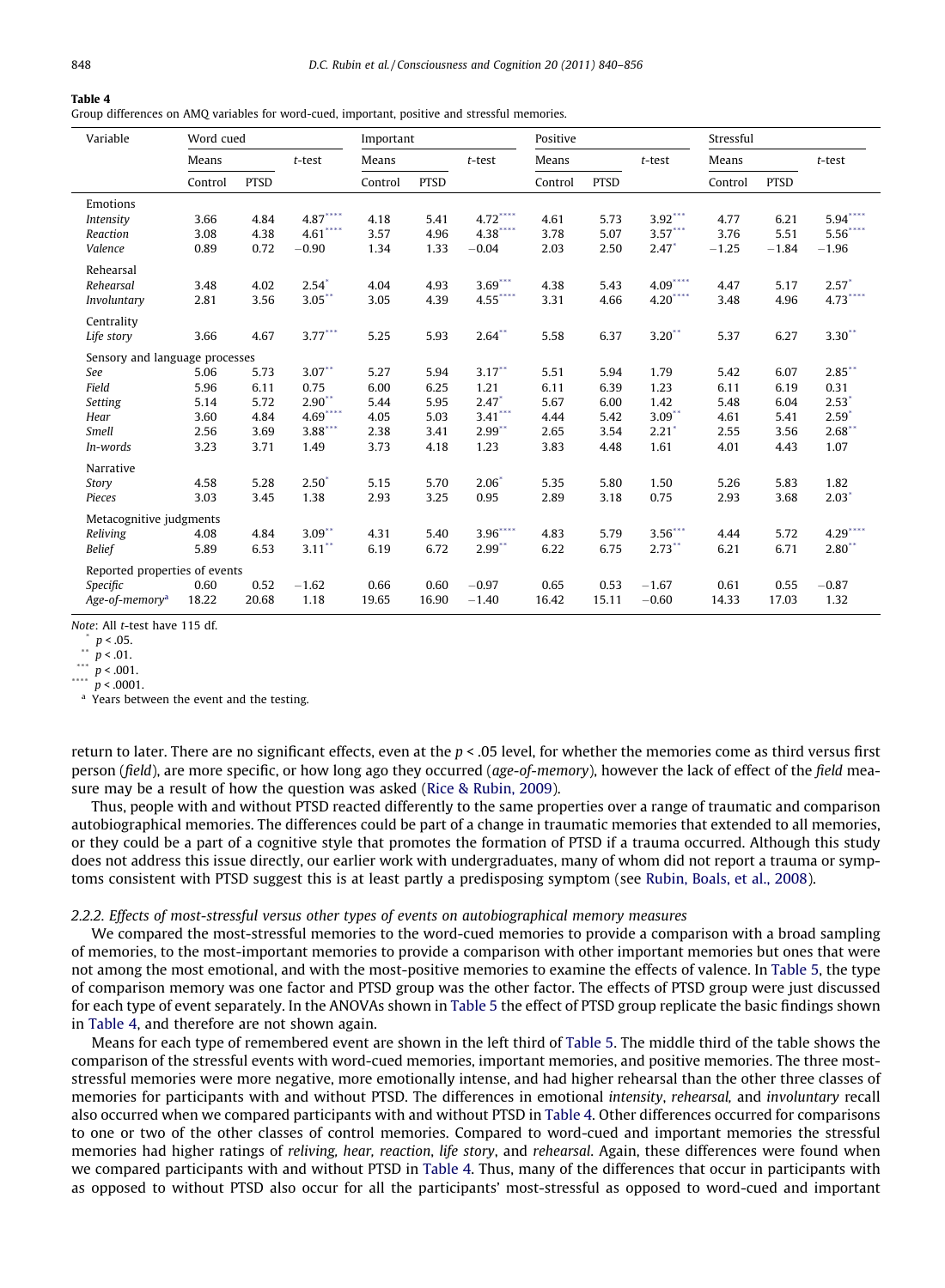<span id="page-8-0"></span>Group differences on AMQ variables for word-cued, important, positive and stressful memories.

| Variable                                                                               | Word cued                                    |                                              | Important                                                       |                                              |                                              | Positive                                                                              |                                              |                                              | Stressful                                                     |                                              |                                              |                                                              |
|----------------------------------------------------------------------------------------|----------------------------------------------|----------------------------------------------|-----------------------------------------------------------------|----------------------------------------------|----------------------------------------------|---------------------------------------------------------------------------------------|----------------------------------------------|----------------------------------------------|---------------------------------------------------------------|----------------------------------------------|----------------------------------------------|--------------------------------------------------------------|
|                                                                                        | Means                                        |                                              | $t$ -test                                                       | Means                                        |                                              | $t$ -test                                                                             | Means                                        |                                              | $t$ -test                                                     | Means                                        |                                              | $t$ -test                                                    |
|                                                                                        | Control                                      | <b>PTSD</b>                                  |                                                                 | Control                                      | <b>PTSD</b>                                  |                                                                                       | Control                                      | <b>PTSD</b>                                  |                                                               | Control                                      | <b>PTSD</b>                                  |                                                              |
| Emotions<br>Intensity<br>Reaction<br>Valence                                           | 3.66<br>3.08<br>0.89                         | 4.84<br>4.38<br>0.72                         | $4.87***$<br>4.61<br>$-0.90$                                    | 4.18<br>3.57<br>1.34                         | 5.41<br>4.96<br>1.33                         | $4.72***$<br>$4.38***$<br>$-0.04$                                                     | 4.61<br>3.78<br>2.03                         | 5.73<br>5.07<br>2.50                         | $3.92***$<br>$3.57***$<br>$2.47*$                             | 4.77<br>3.76<br>$-1.25$                      | 6.21<br>5.51<br>$-1.84$                      | $5.94***$<br>$5.56***$<br>$-1.96$                            |
| Rehearsal<br>Rehearsal<br>Involuntary                                                  | 3.48<br>2.81                                 | 4.02<br>3.56                                 | $2.54^*$<br>$3.05$ **                                           | 4.04<br>3.05                                 | 4.93<br>4.39                                 | $3.69***$<br>$4.55***$                                                                | 4.38<br>3.31                                 | 5.43<br>4.66                                 | $4.09***$<br>$4.20***$                                        | 4.47<br>3.48                                 | 5.17<br>4.96                                 | $2.57*$<br>$4.73***$                                         |
| Centrality<br>Life story                                                               | 3.66                                         | 4.67                                         | $3.77***$                                                       | 5.25                                         | 5.93                                         | $2.64$ **                                                                             | 5.58                                         | 6.37                                         | $3.20$ <sup>**</sup>                                          | 5.37                                         | 6.27                                         | $3.30$ **                                                    |
| Sensory and language processes<br>See<br>Field<br>Setting<br>Hear<br>Smell<br>In-words | 5.06<br>5.96<br>5.14<br>3.60<br>2.56<br>3.23 | 5.73<br>6.11<br>5.72<br>4.84<br>3.69<br>3.71 | $3.07***$<br>0.75<br>$2.90**$<br>$4.69***$<br>$3.88***$<br>1.49 | 5.27<br>6.00<br>5.44<br>4.05<br>2.38<br>3.73 | 5.94<br>6.25<br>5.95<br>5.03<br>3.41<br>4.18 | $3.17$ <sup>**</sup><br>1.21<br>$2.47$ <sup>*</sup><br>$3.41***$<br>$2.99$ **<br>1.23 | 5.51<br>6.11<br>5.67<br>4.44<br>2.65<br>3.83 | 5.94<br>6.39<br>6.00<br>5.42<br>3.54<br>4.48 | 1.79<br>1.23<br>1.42<br>$3.09$ **<br>$2.21^{\degree}$<br>1.61 | 5.42<br>6.11<br>5.48<br>4.61<br>2.55<br>4.01 | 6.07<br>6.19<br>6.04<br>5.41<br>3.56<br>4.43 | $2.85***$<br>0.31<br>$2.53*$<br>$2.59*$<br>$2.68$ **<br>1.07 |
| Narrative<br>Story<br>Pieces                                                           | 4.58<br>3.03                                 | 5.28<br>3.45                                 | $2.50^{\circ}$<br>1.38                                          | 5.15<br>2.93                                 | 5.70<br>3.25                                 | 2.06"<br>0.95                                                                         | 5.35<br>2.89                                 | 5.80<br>3.18                                 | 1.50<br>0.75                                                  | 5.26<br>2.93                                 | 5.83<br>3.68                                 | 1.82<br>$2.03*$                                              |
| Metacognitive judgments<br>Reliving<br><b>Belief</b>                                   | 4.08<br>5.89                                 | 4.84<br>6.53                                 | $3.09$ **<br>$3.11$ **                                          | 4.31<br>6.19                                 | 5.40<br>6.72                                 | $3.96***$<br>$2.99$ **                                                                | 4.83<br>6.22                                 | 5.79<br>6.75                                 | $3.56***$<br>$2.73$ **                                        | 4.44<br>6.21                                 | 5.72<br>6.71                                 | $4.29***$<br>$2.80$ **                                       |
| Reported properties of events<br>Specific<br>Age-of-memory <sup>a</sup>                | 0.60<br>18.22                                | 0.52<br>20.68                                | $-1.62$<br>1.18                                                 | 0.66<br>19.65                                | 0.60<br>16.90                                | $-0.97$<br>$-1.40$                                                                    | 0.65<br>16.42                                | 0.53<br>15.11                                | $-1.67$<br>$-0.60$                                            | 0.61<br>14.33                                | 0.55<br>17.03                                | $-0.87$<br>1.32                                              |

Note: All t-test have 115 df.

 $p < 05$ .

 $p < .01$ .

\*\*\*  $p < .001$ .

\*\*\*\*  $p < .0001$ .

<sup>a</sup> Years between the event and the testing.

return to later. There are no significant effects, even at the  $p < .05$  level, for whether the memories come as third versus first person (field), are more specific, or how long ago they occurred (age-of-memory), however the lack of effect of the field measure may be a result of how the question was asked [\(Rice & Rubin, 2009](#page-15-0)).

Thus, people with and without PTSD reacted differently to the same properties over a range of traumatic and comparison autobiographical memories. The differences could be part of a change in traumatic memories that extended to all memories, or they could be a part of a cognitive style that promotes the formation of PTSD if a trauma occurred. Although this study does not address this issue directly, our earlier work with undergraduates, many of whom did not report a trauma or symptoms consistent with PTSD suggest this is at least partly a predisposing symptom (see [Rubin, Boals, et al., 2008](#page-16-0)).

## 2.2.2. Effects of most-stressful versus other types of events on autobiographical memory measures

We compared the most-stressful memories to the word-cued memories to provide a comparison with a broad sampling of memories, to the most-important memories to provide a comparison with other important memories but ones that were not among the most emotional, and with the most-positive memories to examine the effects of valence. In [Table 5](#page-9-0), the type of comparison memory was one factor and PTSD group was the other factor. The effects of PTSD group were just discussed for each type of event separately. In the ANOVAs shown in [Table 5](#page-9-0) the effect of PTSD group replicate the basic findings shown in Table 4, and therefore are not shown again.

Means for each type of remembered event are shown in the left third of [Table 5.](#page-9-0) The middle third of the table shows the comparison of the stressful events with word-cued memories, important memories, and positive memories. The three moststressful memories were more negative, more emotionally intense, and had higher rehearsal than the other three classes of memories for participants with and without PTSD. The differences in emotional intensity, rehearsal, and involuntary recall also occurred when we compared participants with and without PTSD in Table 4. Other differences occurred for comparisons to one or two of the other classes of control memories. Compared to word-cued and important memories the stressful memories had higher ratings of reliving, hear, reaction, life story, and rehearsal. Again, these differences were found when we compared participants with and without PTSD in Table 4. Thus, many of the differences that occur in participants with as opposed to without PTSD also occur for all the participants' most-stressful as opposed to word-cued and important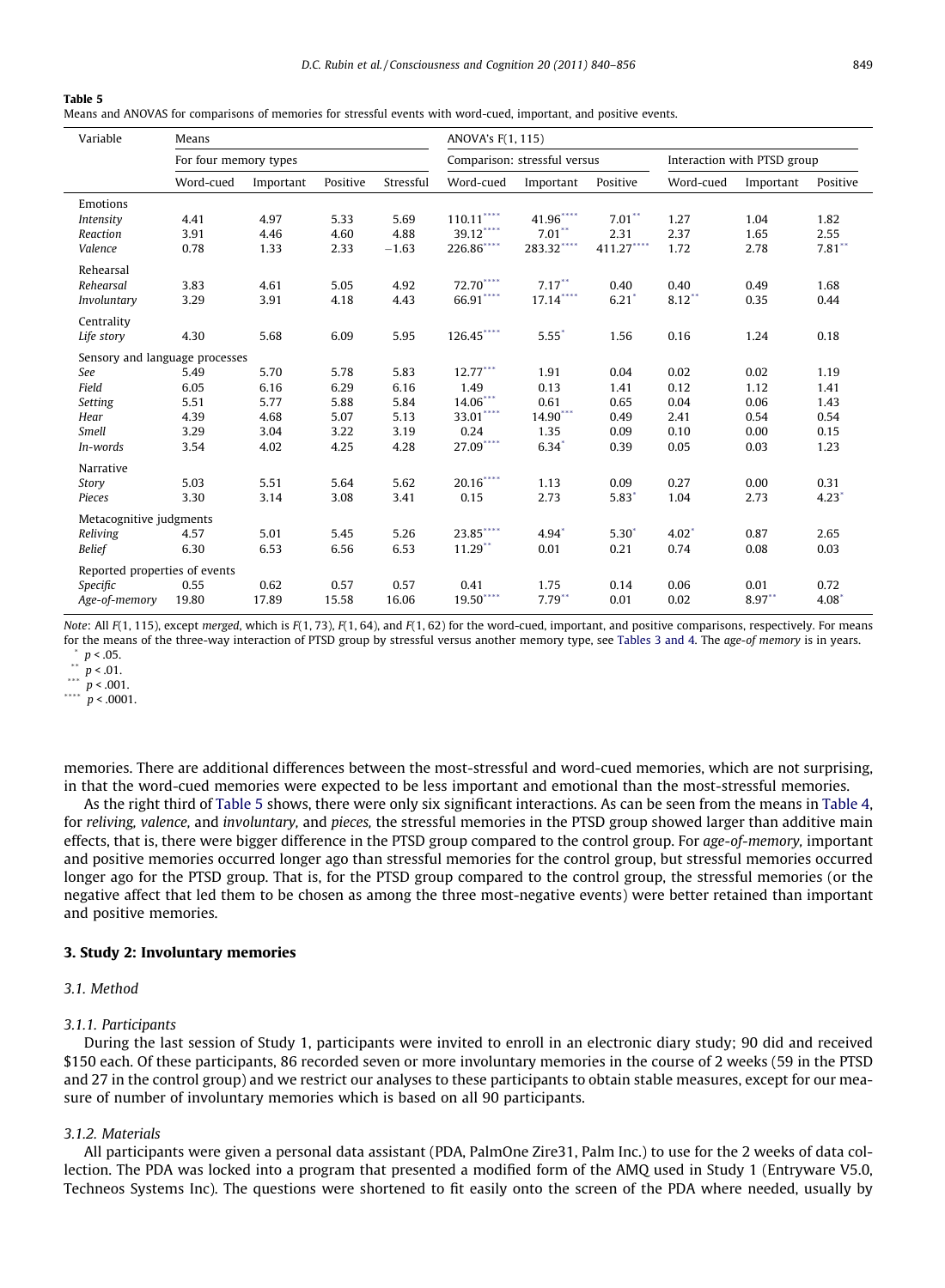<span id="page-9-0"></span>Means and ANOVAS for comparisons of memories for stressful events with word-cued, important, and positive events.

| Variable                       | Means                 |           |          |           | ANOVA's F(1, 115)           |                              |                     |                  |                             |          |  |  |
|--------------------------------|-----------------------|-----------|----------|-----------|-----------------------------|------------------------------|---------------------|------------------|-----------------------------|----------|--|--|
|                                | For four memory types |           |          |           |                             | Comparison: stressful versus |                     |                  | Interaction with PTSD group |          |  |  |
|                                | Word-cued             | Important | Positive | Stressful | Word-cued                   | Important                    | Positive            | Word-cued        | Important                   | Positive |  |  |
| Emotions                       |                       |           |          |           |                             |                              |                     |                  |                             |          |  |  |
| Intensity                      | 4.41                  | 4.97      | 5.33     | 5.69      | $110.11^{\ast\ast\ast\ast}$ | $41.96***$                   | $7.01**$            | 1.27             | 1.04                        | 1.82     |  |  |
| Reaction                       | 3.91                  | 4.46      | 4.60     | 4.88      | $39.12***$                  | $7.01$ **                    | 2.31                | 2.37             | 1.65                        | 2.55     |  |  |
| Valence                        | 0.78                  | 1.33      | 2.33     | $-1.63$   | $226.86$ ****               | 283.32****                   | $411.27***$         | 1.72             | 2.78                        | $7.81**$ |  |  |
| Rehearsal                      |                       |           |          |           |                             |                              |                     |                  |                             |          |  |  |
| Rehearsal                      | 3.83                  | 4.61      | 5.05     | 4.92      | $72.70***$                  | $7.17***$                    | 0.40                | 0.40             | 0.49                        | 1.68     |  |  |
| Involuntary                    | 3.29                  | 3.91      | 4.18     | 4.43      | $66.91***$                  | $17.14***$                   | $6.21$ <sup>*</sup> | $8.12$ **        | 0.35                        | 0.44     |  |  |
| Centrality                     |                       |           |          |           |                             |                              |                     |                  |                             |          |  |  |
| Life story                     | 4.30                  | 5.68      | 6.09     | 5.95      | $126.45^{\ast\ast\ast\ast}$ | $5.55$ <sup>*</sup>          | 1.56                | 0.16             | 1.24                        | 0.18     |  |  |
| Sensory and language processes |                       |           |          |           |                             |                              |                     |                  |                             |          |  |  |
| See                            | 5.49                  | 5.70      | 5.78     | 5.83      | $12.77***$                  | 1.91                         | 0.04                | 0.02             | 0.02                        | 1.19     |  |  |
| Field                          | 6.05                  | 6.16      | 6.29     | 6.16      | 1.49                        | 0.13                         | 1.41                | 0.12             | 1.12                        | 1.41     |  |  |
| Setting                        | 5.51                  | 5.77      | 5.88     | 5.84      | $14.06***$                  | 0.61                         | 0.65                | 0.04             | 0.06                        | 1.43     |  |  |
| Hear                           | 4.39                  | 4.68      | 5.07     | 5.13      | 33.01****                   | 14.90***                     | 0.49                | 2.41             | 0.54                        | 0.54     |  |  |
| Smell                          | 3.29                  | 3.04      | 3.22     | 3.19      | 0.24                        | 1.35                         | 0.09                | 0.10             | 0.00                        | 0.15     |  |  |
| In-words                       | 3.54                  | 4.02      | 4.25     | 4.28      | $27.09***$                  | $6.34$ <sup>*</sup>          | 0.39                | 0.05             | 0.03                        | 1.23     |  |  |
| Narrative                      |                       |           |          |           |                             |                              |                     |                  |                             |          |  |  |
| Story                          | 5.03                  | 5.51      | 5.64     | 5.62      | $20.16***$                  | 1.13                         | 0.09                | 0.27             | 0.00                        | 0.31     |  |  |
| Pieces                         | 3.30                  | 3.14      | 3.08     | 3.41      | 0.15                        | 2.73                         | $5.83*$             | 1.04             | 2.73                        | $4.23*$  |  |  |
| Metacognitive judgments        |                       |           |          |           |                             |                              |                     |                  |                             |          |  |  |
| Reliving                       | 4.57                  | 5.01      | 5.45     | 5.26      | $23.85***$                  | $4.94$ <sup>*</sup>          | $5.30*$             | $4.02^{\degree}$ | 0.87                        | 2.65     |  |  |
| <b>Belief</b>                  | 6.30                  | 6.53      | 6.56     | 6.53      | $11.29$ **                  | 0.01                         | 0.21                | 0.74             | 0.08                        | 0.03     |  |  |
| Reported properties of events  |                       |           |          |           |                             |                              |                     |                  |                             |          |  |  |
| Specific                       | 0.55                  | 0.62      | 0.57     | 0.57      | 0.41                        | 1.75                         | 0.14                | 0.06             | 0.01                        | 0.72     |  |  |
| Age-of-memory                  | 19.80                 | 17.89     | 15.58    | 16.06     | $19.50^{***}$               | $7.79**$                     | 0.01                | 0.02             | $8.97$ **                   | $4.08^*$ |  |  |

Note: All  $F(1, 115)$ , except merged, which is  $F(1, 73)$ ,  $F(1, 64)$ , and  $F(1, 62)$  for the word-cued, important, and positive comparisons, respectively. For means for the means of the three-way interaction of PTSD group by stressful versus another memory type, see [Tables 3 and 4](#page-7-0). The age-of memory is in years.

 $p < .05$ . \*\*  $p < .01$ .

 $p < .001$ . \*\*\*\*  $p' < .0001$ .

memories. There are additional differences between the most-stressful and word-cued memories, which are not surprising, in that the word-cued memories were expected to be less important and emotional than the most-stressful memories.

As the right third of Table 5 shows, there were only six significant interactions. As can be seen from the means in [Table 4](#page-8-0), for reliving, valence, and involuntary, and pieces, the stressful memories in the PTSD group showed larger than additive main effects, that is, there were bigger difference in the PTSD group compared to the control group. For age-of-memory, important and positive memories occurred longer ago than stressful memories for the control group, but stressful memories occurred longer ago for the PTSD group. That is, for the PTSD group compared to the control group, the stressful memories (or the negative affect that led them to be chosen as among the three most-negative events) were better retained than important and positive memories.

## 3. Study 2: Involuntary memories

## 3.1. Method

#### 3.1.1. Participants

During the last session of Study 1, participants were invited to enroll in an electronic diary study; 90 did and received \$150 each. Of these participants, 86 recorded seven or more involuntary memories in the course of 2 weeks (59 in the PTSD and 27 in the control group) and we restrict our analyses to these participants to obtain stable measures, except for our measure of number of involuntary memories which is based on all 90 participants.

#### 3.1.2. Materials

All participants were given a personal data assistant (PDA, PalmOne Zire31, Palm Inc.) to use for the 2 weeks of data collection. The PDA was locked into a program that presented a modified form of the AMQ used in Study 1 (Entryware V5.0, Techneos Systems Inc). The questions were shortened to fit easily onto the screen of the PDA where needed, usually by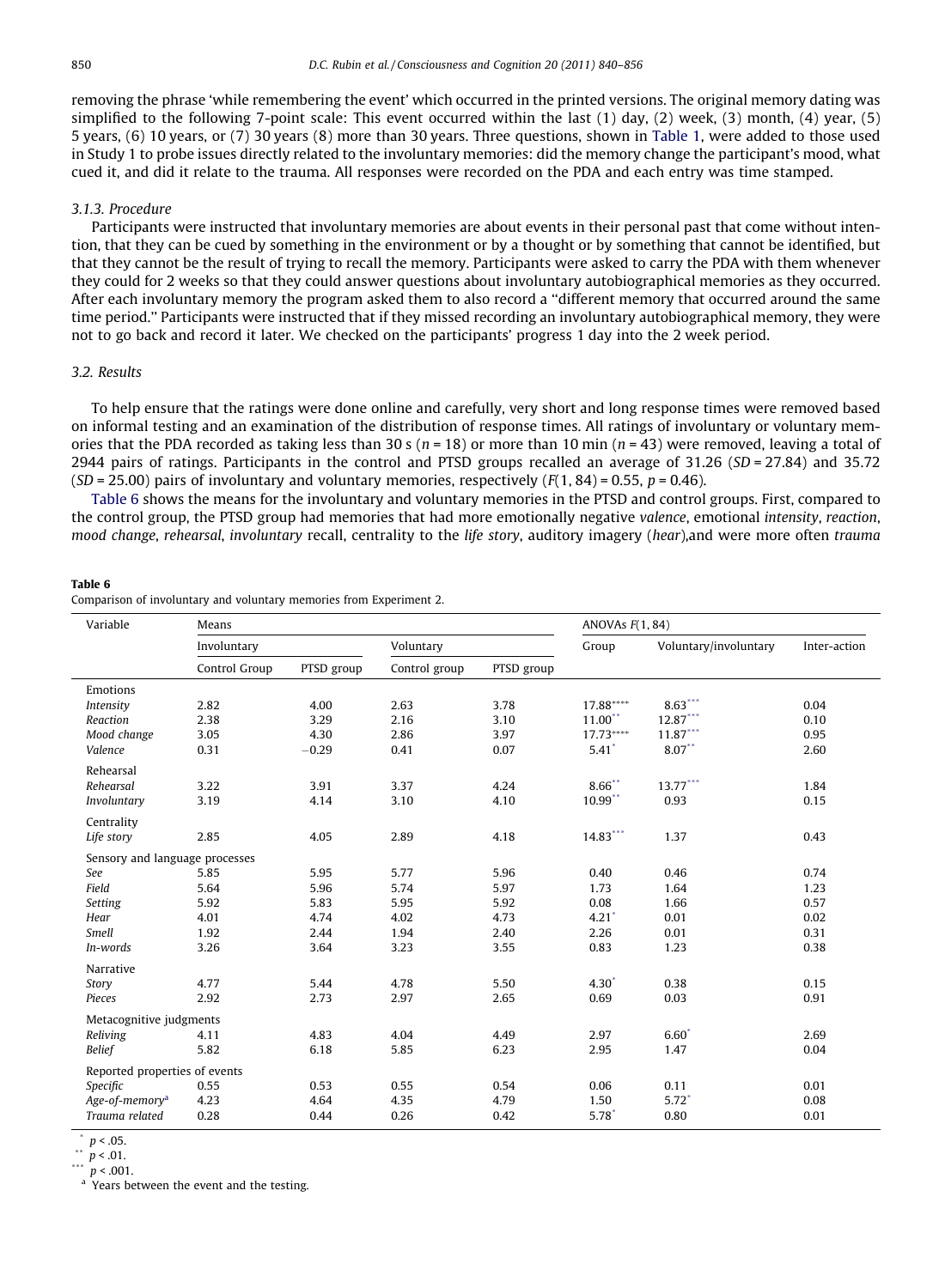<span id="page-10-0"></span>removing the phrase 'while remembering the event' which occurred in the printed versions. The original memory dating was simplified to the following 7-point scale: This event occurred within the last (1) day, (2) week, (3) month, (4) year, (5) 5 years, (6) 10 years, or (7) 30 years (8) more than 30 years. Three questions, shown in [Table 1,](#page-4-0) were added to those used in Study 1 to probe issues directly related to the involuntary memories: did the memory change the participant's mood, what cued it, and did it relate to the trauma. All responses were recorded on the PDA and each entry was time stamped.

## 3.1.3. Procedure

Participants were instructed that involuntary memories are about events in their personal past that come without intention, that they can be cued by something in the environment or by a thought or by something that cannot be identified, but that they cannot be the result of trying to recall the memory. Participants were asked to carry the PDA with them whenever they could for 2 weeks so that they could answer questions about involuntary autobiographical memories as they occurred. After each involuntary memory the program asked them to also record a ''different memory that occurred around the same time period.'' Participants were instructed that if they missed recording an involuntary autobiographical memory, they were not to go back and record it later. We checked on the participants' progress 1 day into the 2 week period.

## 3.2. Results

To help ensure that the ratings were done online and carefully, very short and long response times were removed based on informal testing and an examination of the distribution of response times. All ratings of involuntary or voluntary memories that the PDA recorded as taking less than 30 s ( $n = 18$ ) or more than 10 min ( $n = 43$ ) were removed, leaving a total of 2944 pairs of ratings. Participants in the control and PTSD groups recalled an average of  $31.26$  (SD = 27.84) and  $35.72$  $(SD = 25.00)$  pairs of involuntary and voluntary memories, respectively  $(F(1, 84) = 0.55, p = 0.46)$ .

Table 6 shows the means for the involuntary and voluntary memories in the PTSD and control groups. First, compared to the control group, the PTSD group had memories that had more emotionally negative valence, emotional intensity, reaction, mood change, rehearsal, involuntary recall, centrality to the life story, auditory imagery (hear),and were more often trauma

#### Table 6

Comparison of involuntary and voluntary memories from Experiment 2.

| Variable                       | Means         |            |               |            | ANOVAs F(1,84)      |                       |              |  |  |
|--------------------------------|---------------|------------|---------------|------------|---------------------|-----------------------|--------------|--|--|
|                                | Involuntary   |            | Voluntary     |            | Group               | Voluntary/involuntary | Inter-action |  |  |
|                                | Control Group | PTSD group | Control group | PTSD group |                     |                       |              |  |  |
| Emotions                       |               |            |               |            |                     |                       |              |  |  |
| Intensity                      | 2.82          | 4.00       | 2.63          | 3.78       | 17.88****           | $8.63***$             | 0.04         |  |  |
| Reaction                       | 2.38          | 3.29       | 2.16          | 3.10       | $11.00**$           | 12.87***              | 0.10         |  |  |
| Mood change                    | 3.05          | 4.30       | 2.86          | 3.97       | $17.73***$          | $11.87***$            | 0.95         |  |  |
| Valence                        | 0.31          | $-0.29$    | 0.41          | 0.07       | $5.41$ <sup>*</sup> | $8.07***$             | 2.60         |  |  |
| Rehearsal                      |               |            |               |            |                     |                       |              |  |  |
| Rehearsal                      | 3.22          | 3.91       | 3.37          | 4.24       | 8.66                | $13.77***$            | 1.84         |  |  |
| Involuntary                    | 3.19          | 4.14       | 3.10          | 4.10       | $10.99$ **          | 0.93                  | 0.15         |  |  |
|                                |               |            |               |            |                     |                       |              |  |  |
| Centrality<br>Life story       | 2.85          | 4.05       | 2.89          | 4.18       | $14.83***$          | 1.37                  | 0.43         |  |  |
|                                |               |            |               |            |                     |                       |              |  |  |
| Sensory and language processes |               |            |               |            |                     |                       |              |  |  |
| See                            | 5.85          | 5.95       | 5.77          | 5.96       | 0.40                | 0.46                  | 0.74         |  |  |
| Field                          | 5.64          | 5.96       | 5.74          | 5.97       | 1.73                | 1.64                  | 1.23         |  |  |
| Setting                        | 5.92          | 5.83       | 5.95          | 5.92       | 0.08                | 1.66                  | 0.57         |  |  |
| Hear                           | 4.01          | 4.74       | 4.02          | 4.73       | $4.21$ <sup>*</sup> | 0.01                  | 0.02         |  |  |
| Smell                          | 1.92          | 2.44       | 1.94          | 2.40       | 2.26                | 0.01                  | 0.31         |  |  |
| In-words                       | 3.26          | 3.64       | 3.23          | 3.55       | 0.83                | 1.23                  | 0.38         |  |  |
| Narrative                      |               |            |               |            |                     |                       |              |  |  |
| Story                          | 4.77          | 5.44       | 4.78          | 5.50       | $4.30*$             | 0.38                  | 0.15         |  |  |
| Pieces                         | 2.92          | 2.73       | 2.97          | 2.65       | 0.69                | 0.03                  | 0.91         |  |  |
| Metacognitive judgments        |               |            |               |            |                     |                       |              |  |  |
| Reliving                       | 4.11          | 4.83       | 4.04          | 4.49       | 2.97                | $6.60*$               | 2.69         |  |  |
| <b>Belief</b>                  | 5.82          | 6.18       | 5.85          | 6.23       | 2.95                | 1.47                  | 0.04         |  |  |
| Reported properties of events  |               |            |               |            |                     |                       |              |  |  |
| Specific                       | 0.55          | 0.53       | 0.55          | 0.54       | 0.06                | 0.11                  | 0.01         |  |  |
| Age-of-memory <sup>a</sup>     | 4.23          | 4.64       | 4.35          | 4.79       | 1.50                | $5.72^*$              | 0.08         |  |  |
| Trauma related                 | 0.28          | 0.44       | 0.26          | 0.42       | $5.78^*$            | 0.80                  | 0.01         |  |  |
|                                |               |            |               |            |                     |                       |              |  |  |

 $p < .05$ .

 $p < .01$ .

 $p < .001.$ 

<sup>a</sup> Years between the event and the testing.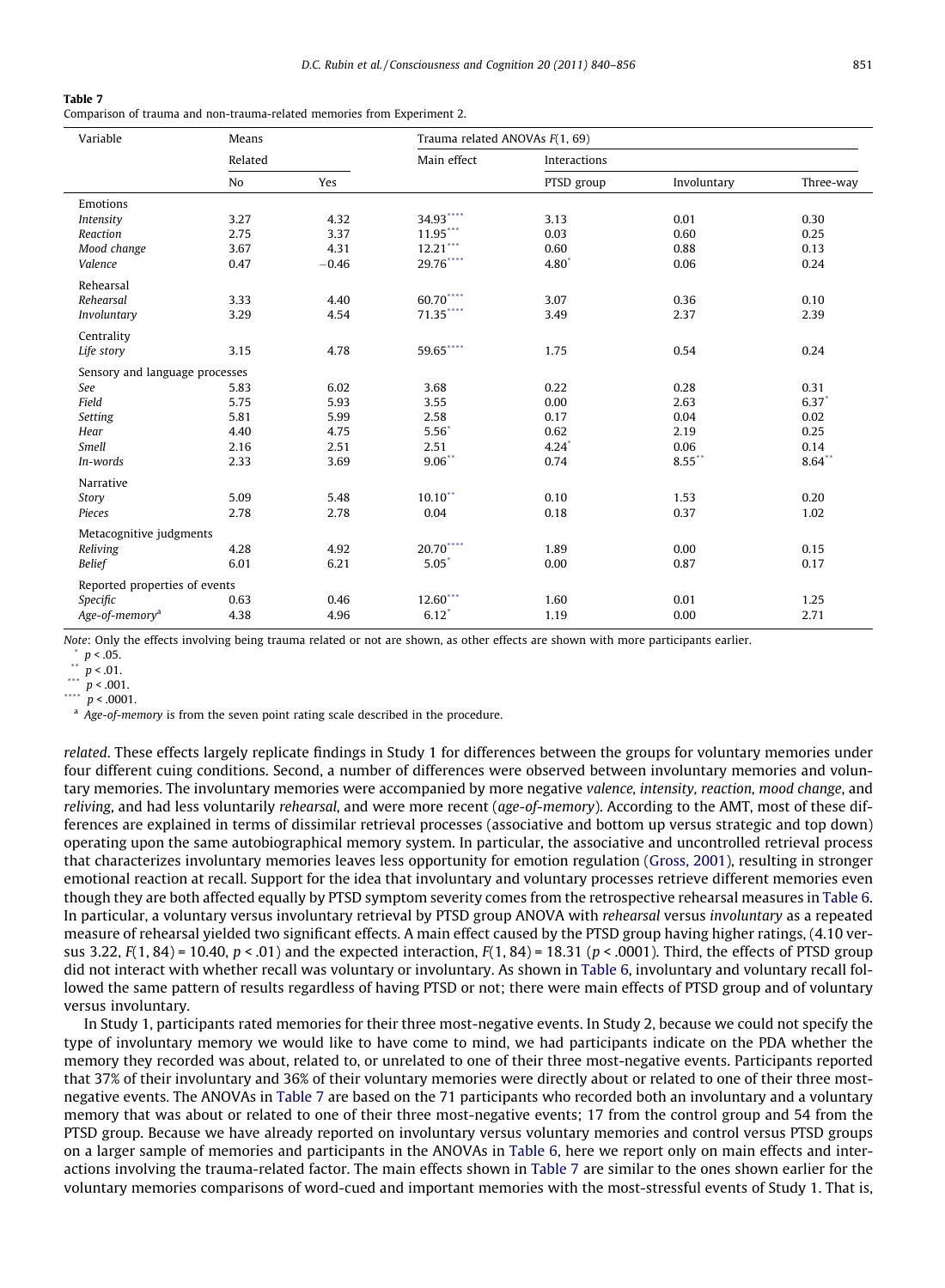Comparison of trauma and non-trauma-related memories from Experiment 2.

| Variable                       | Means          |         | Trauma related ANOVAs F(1, 69) |                     |             |                     |
|--------------------------------|----------------|---------|--------------------------------|---------------------|-------------|---------------------|
|                                | Related        |         | Main effect                    | Interactions        |             |                     |
|                                | N <sub>o</sub> | Yes     |                                | PTSD group          | Involuntary | Three-way           |
| Emotions                       |                |         |                                |                     |             |                     |
| Intensity                      | 3.27           | 4.32    | $34.93***$                     | 3.13                | 0.01        | 0.30                |
| Reaction                       | 2.75           | 3.37    | $11.95***$                     | 0.03                | 0.60        | 0.25                |
| Mood change                    | 3.67           | 4.31    | $12.21***$                     | 0.60                | 0.88        | 0.13                |
| Valence                        | 0.47           | $-0.46$ | $29.76***$                     | $4.80^{\degree}$    | 0.06        | 0.24                |
| Rehearsal                      |                |         |                                |                     |             |                     |
| Rehearsal                      | 3.33           | 4.40    | $60.70^{\ast\ast\ast\ast}$     | 3.07                | 0.36        | 0.10                |
| Involuntary                    | 3.29           | 4.54    | $71.35***$                     | 3.49                | 2.37        | 2.39                |
| Centrality                     |                |         |                                |                     |             |                     |
| Life story                     | 3.15           | 4.78    | $59.65^{\ast\ast\ast\ast}$     | 1.75                | 0.54        | 0.24                |
| Sensory and language processes |                |         |                                |                     |             |                     |
| See                            | 5.83           | 6.02    | 3.68                           | 0.22                | 0.28        | 0.31                |
| Field                          | 5.75           | 5.93    | 3.55                           | 0.00                | 2.63        | $6.37$ <sup>*</sup> |
| Setting                        | 5.81           | 5.99    | 2.58                           | 0.17                | 0.04        | 0.02                |
| Hear                           | 4.40           | 4.75    | 5.56                           | 0.62                | 2.19        | 0.25                |
| Smell                          | 2.16           | 2.51    | 2.51                           | $4.24$ <sup>*</sup> | 0.06        | 0.14                |
| In-words                       | 2.33           | 3.69    | $9.06***$                      | 0.74                | $8.55$ **   | $8.64$ **           |
| Narrative                      |                |         |                                |                     |             |                     |
| Story                          | 5.09           | 5.48    | $10.10$ **                     | 0.10                | 1.53        | 0.20                |
| Pieces                         | 2.78           | 2.78    | 0.04                           | 0.18                | 0.37        | 1.02                |
| Metacognitive judgments        |                |         |                                |                     |             |                     |
| Reliving                       | 4.28           | 4.92    | $20.70***$                     | 1.89                | 0.00        | 0.15                |
| <b>Belief</b>                  | 6.01           | 6.21    | 5.05                           | 0.00                | 0.87        | 0.17                |
| Reported properties of events  |                |         |                                |                     |             |                     |
| Specific                       | 0.63           | 0.46    | 12.60                          | 1.60                | 0.01        | 1.25                |
| Age-of-memory <sup>a</sup>     | 4.38           | 4.96    | $6.12$ <sup>*</sup>            | 1.19                | 0.00        | 2.71                |

Note: Only the effects involving being trauma related or not are shown, as other effects are shown with more participants earlier.

 $\int_{0}^{\infty} p < .05$ .

\*\*  $p < 01$ .

 $\sum_{n=1}^{n+1} p < .001.$ 

 $p < .0001$ .

<sup>a</sup> Age-of-memory is from the seven point rating scale described in the procedure.

related. These effects largely replicate findings in Study 1 for differences between the groups for voluntary memories under four different cuing conditions. Second, a number of differences were observed between involuntary memories and voluntary memories. The involuntary memories were accompanied by more negative valence, intensity, reaction, mood change, and reliving, and had less voluntarily rehearsal, and were more recent (age-of-memory). According to the AMT, most of these differences are explained in terms of dissimilar retrieval processes (associative and bottom up versus strategic and top down) operating upon the same autobiographical memory system. In particular, the associative and uncontrolled retrieval process that characterizes involuntary memories leaves less opportunity for emotion regulation [\(Gross, 2001](#page-15-0)), resulting in stronger emotional reaction at recall. Support for the idea that involuntary and voluntary processes retrieve different memories even though they are both affected equally by PTSD symptom severity comes from the retrospective rehearsal measures in [Table 6](#page-10-0). In particular, a voluntary versus involuntary retrieval by PTSD group ANOVA with rehearsal versus involuntary as a repeated measure of rehearsal yielded two significant effects. A main effect caused by the PTSD group having higher ratings, (4.10 versus 3.22,  $F(1, 84) = 10.40$ ,  $p < .01$ ) and the expected interaction,  $F(1, 84) = 18.31$  ( $p < .0001$ ). Third, the effects of PTSD group did not interact with whether recall was voluntary or involuntary. As shown in [Table 6](#page-10-0), involuntary and voluntary recall followed the same pattern of results regardless of having PTSD or not; there were main effects of PTSD group and of voluntary versus involuntary.

In Study 1, participants rated memories for their three most-negative events. In Study 2, because we could not specify the type of involuntary memory we would like to have come to mind, we had participants indicate on the PDA whether the memory they recorded was about, related to, or unrelated to one of their three most-negative events. Participants reported that 37% of their involuntary and 36% of their voluntary memories were directly about or related to one of their three mostnegative events. The ANOVAs in Table 7 are based on the 71 participants who recorded both an involuntary and a voluntary memory that was about or related to one of their three most-negative events; 17 from the control group and 54 from the PTSD group. Because we have already reported on involuntary versus voluntary memories and control versus PTSD groups on a larger sample of memories and participants in the ANOVAs in [Table 6](#page-10-0), here we report only on main effects and interactions involving the trauma-related factor. The main effects shown in Table 7 are similar to the ones shown earlier for the voluntary memories comparisons of word-cued and important memories with the most-stressful events of Study 1. That is,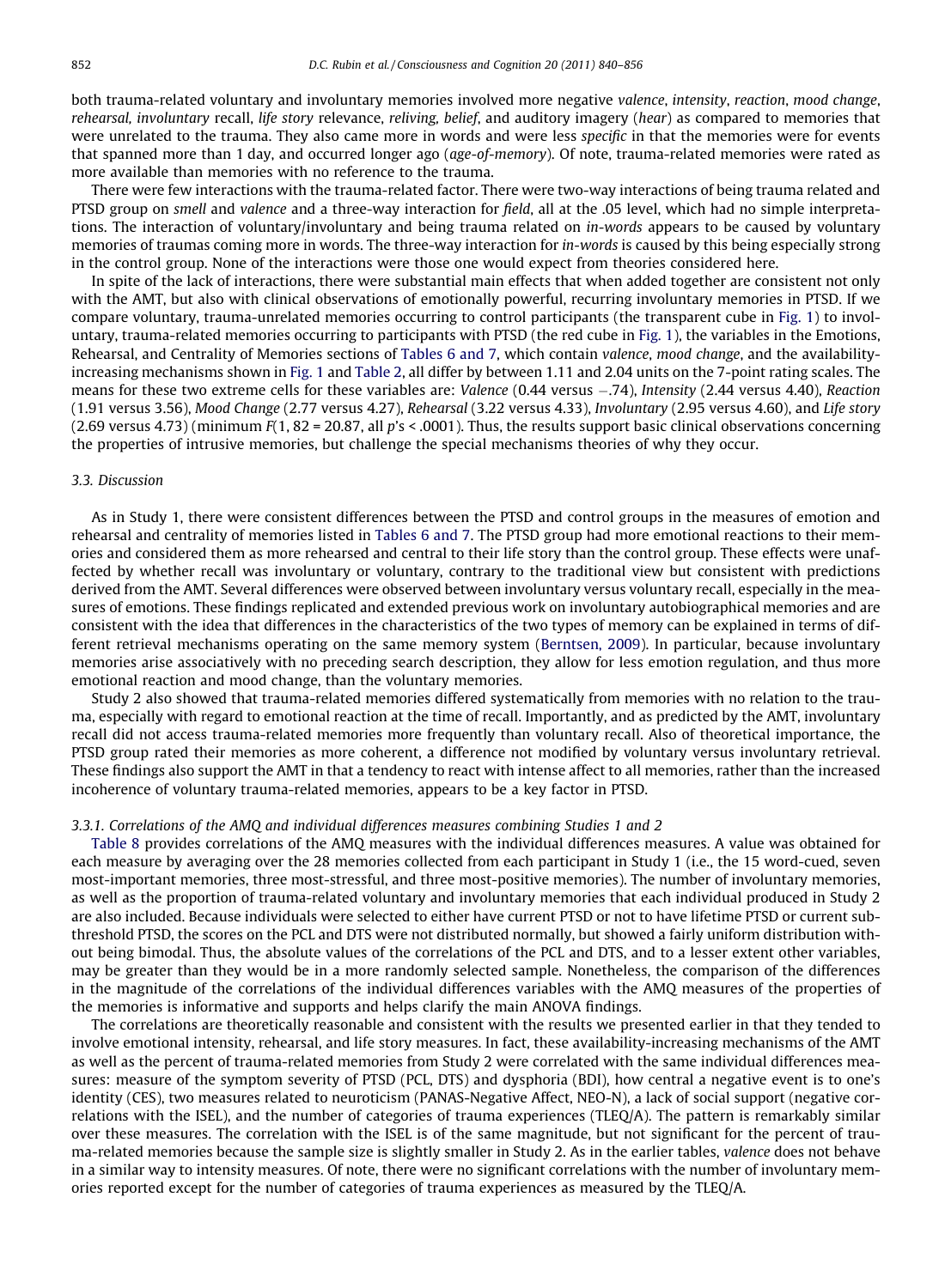both trauma-related voluntary and involuntary memories involved more negative valence, intensity, reaction, mood change, rehearsal, involuntary recall, life story relevance, reliving, belief, and auditory imagery (hear) as compared to memories that were unrelated to the trauma. They also came more in words and were less specific in that the memories were for events that spanned more than 1 day, and occurred longer ago (age-of-memory). Of note, trauma-related memories were rated as more available than memories with no reference to the trauma.

There were few interactions with the trauma-related factor. There were two-way interactions of being trauma related and PTSD group on smell and valence and a three-way interaction for field, all at the .05 level, which had no simple interpretations. The interaction of voluntary/involuntary and being trauma related on in-words appears to be caused by voluntary memories of traumas coming more in words. The three-way interaction for in-words is caused by this being especially strong in the control group. None of the interactions were those one would expect from theories considered here.

In spite of the lack of interactions, there were substantial main effects that when added together are consistent not only with the AMT, but also with clinical observations of emotionally powerful, recurring involuntary memories in PTSD. If we compare voluntary, trauma-unrelated memories occurring to control participants (the transparent cube in [Fig. 1](#page-2-0)) to involuntary, trauma-related memories occurring to participants with PTSD (the red cube in [Fig. 1](#page-2-0)), the variables in the Emotions, Rehearsal, and Centrality of Memories sections of [Tables 6 and 7](#page-10-0), which contain valence, mood change, and the availabilityincreasing mechanisms shown in [Fig. 1](#page-2-0) and [Table 2,](#page-4-0) all differ by between 1.11 and 2.04 units on the 7-point rating scales. The means for these two extreme cells for these variables are: Valence (0.44 versus -.74), Intensity (2.44 versus 4.40), Reaction (1.91 versus 3.56), Mood Change (2.77 versus 4.27), Rehearsal (3.22 versus 4.33), Involuntary (2.95 versus 4.60), and Life story  $(2.69$  versus 4.73) (minimum  $F(1, 82 = 20.87,$  all  $p's < .0001$ ). Thus, the results support basic clinical observations concerning the properties of intrusive memories, but challenge the special mechanisms theories of why they occur.

## 3.3. Discussion

As in Study 1, there were consistent differences between the PTSD and control groups in the measures of emotion and rehearsal and centrality of memories listed in [Tables 6 and 7](#page-10-0). The PTSD group had more emotional reactions to their memories and considered them as more rehearsed and central to their life story than the control group. These effects were unaffected by whether recall was involuntary or voluntary, contrary to the traditional view but consistent with predictions derived from the AMT. Several differences were observed between involuntary versus voluntary recall, especially in the measures of emotions. These findings replicated and extended previous work on involuntary autobiographical memories and are consistent with the idea that differences in the characteristics of the two types of memory can be explained in terms of different retrieval mechanisms operating on the same memory system ([Berntsen, 2009](#page-15-0)). In particular, because involuntary memories arise associatively with no preceding search description, they allow for less emotion regulation, and thus more emotional reaction and mood change, than the voluntary memories.

Study 2 also showed that trauma-related memories differed systematically from memories with no relation to the trauma, especially with regard to emotional reaction at the time of recall. Importantly, and as predicted by the AMT, involuntary recall did not access trauma-related memories more frequently than voluntary recall. Also of theoretical importance, the PTSD group rated their memories as more coherent, a difference not modified by voluntary versus involuntary retrieval. These findings also support the AMT in that a tendency to react with intense affect to all memories, rather than the increased incoherence of voluntary trauma-related memories, appears to be a key factor in PTSD.

#### 3.3.1. Correlations of the AMQ and individual differences measures combining Studies 1 and 2

[Table 8](#page-13-0) provides correlations of the AMQ measures with the individual differences measures. A value was obtained for each measure by averaging over the 28 memories collected from each participant in Study 1 (i.e., the 15 word-cued, seven most-important memories, three most-stressful, and three most-positive memories). The number of involuntary memories, as well as the proportion of trauma-related voluntary and involuntary memories that each individual produced in Study 2 are also included. Because individuals were selected to either have current PTSD or not to have lifetime PTSD or current subthreshold PTSD, the scores on the PCL and DTS were not distributed normally, but showed a fairly uniform distribution without being bimodal. Thus, the absolute values of the correlations of the PCL and DTS, and to a lesser extent other variables, may be greater than they would be in a more randomly selected sample. Nonetheless, the comparison of the differences in the magnitude of the correlations of the individual differences variables with the AMQ measures of the properties of the memories is informative and supports and helps clarify the main ANOVA findings.

The correlations are theoretically reasonable and consistent with the results we presented earlier in that they tended to involve emotional intensity, rehearsal, and life story measures. In fact, these availability-increasing mechanisms of the AMT as well as the percent of trauma-related memories from Study 2 were correlated with the same individual differences measures: measure of the symptom severity of PTSD (PCL, DTS) and dysphoria (BDI), how central a negative event is to one's identity (CES), two measures related to neuroticism (PANAS-Negative Affect, NEO-N), a lack of social support (negative correlations with the ISEL), and the number of categories of trauma experiences (TLEQ/A). The pattern is remarkably similar over these measures. The correlation with the ISEL is of the same magnitude, but not significant for the percent of trauma-related memories because the sample size is slightly smaller in Study 2. As in the earlier tables, valence does not behave in a similar way to intensity measures. Of note, there were no significant correlations with the number of involuntary memories reported except for the number of categories of trauma experiences as measured by the TLEQ/A.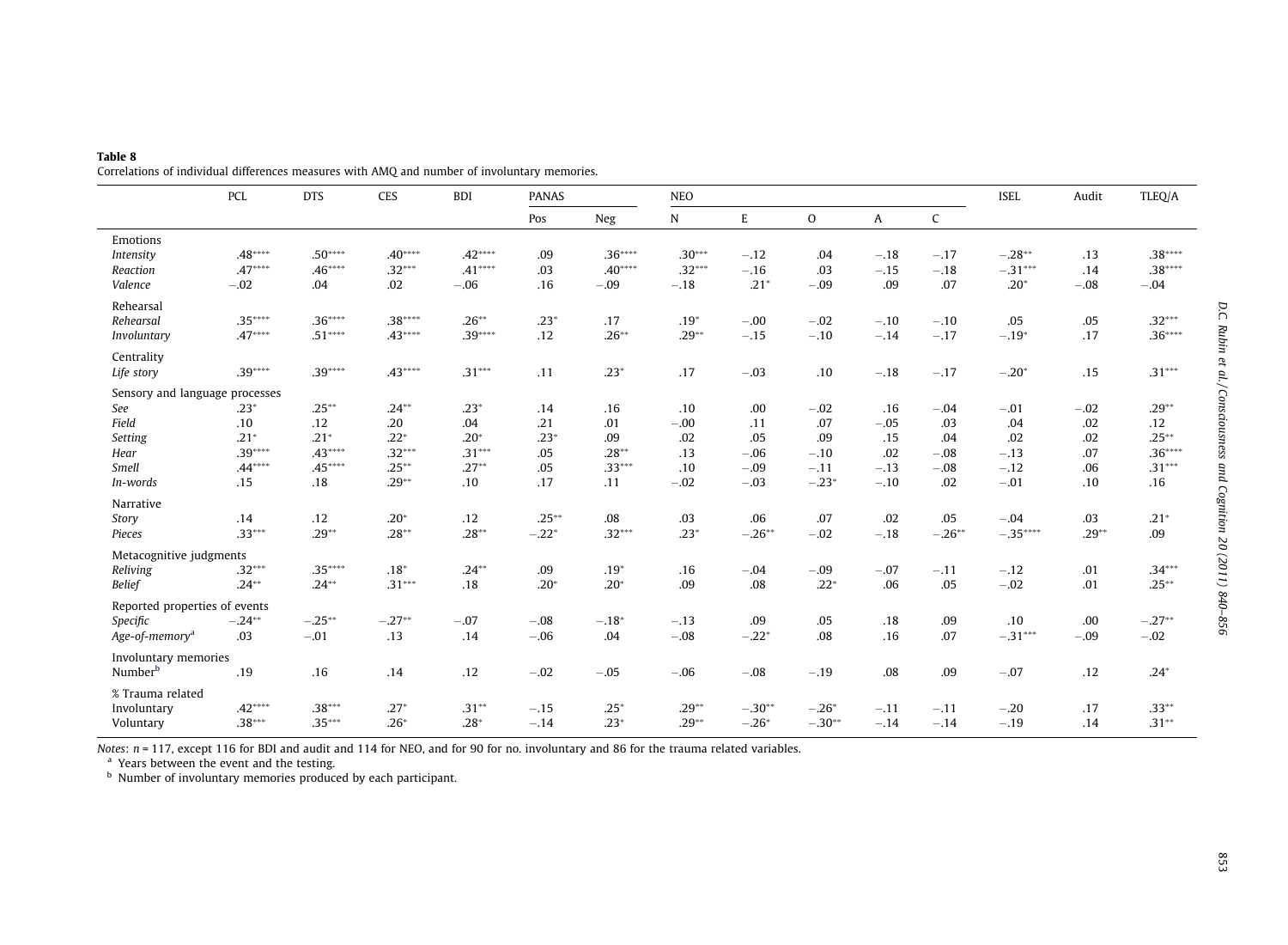<span id="page-13-0"></span>

| Table 8                                                                                      |  |  |
|----------------------------------------------------------------------------------------------|--|--|
| Correlations of individual differences measures with AMQ and number of involuntary memories. |  |  |

|                                       | PCL                  | <b>DTS</b>           | CES                  | <b>BDI</b>           | <b>PANAS</b>  |                      | <b>NEO</b>           |                  |                  |                  |                  | <b>ISEL</b>           | Audit      | TLEQ/A               |
|---------------------------------------|----------------------|----------------------|----------------------|----------------------|---------------|----------------------|----------------------|------------------|------------------|------------------|------------------|-----------------------|------------|----------------------|
|                                       |                      |                      |                      |                      | Pos           | Neg                  | N                    | E                | $\mathbf{O}$     | A                | $\mathsf{C}$     |                       |            |                      |
| Emotions<br>Intensity<br>Reaction     | $.48***$<br>$.47***$ | $.50***$<br>$.46***$ | $.40***$<br>$.32***$ | $.42***$<br>$.41***$ | .09<br>.03    | $.36***$<br>$.40***$ | $.30***$<br>$.32***$ | $-.12$<br>$-.16$ | .04<br>.03       | $-.18$<br>$-.15$ | $-.17$<br>$-.18$ | $-.28**$<br>$-.31***$ | .13<br>.14 | $.38***$<br>$.38***$ |
| Valence                               | $-.02$               | .04                  | .02                  | $-.06$               | .16           | $-.09$               | $-.18$               | $.21*$           | $-.09$           | .09              | .07              | $.20*$                | $-.08$     | $-.04$               |
| Rehearsal<br>Rehearsal<br>Involuntary | $.35***$<br>$.47***$ | $.36***$<br>$.51***$ | $.38***$<br>$.43***$ | $.26**$<br>$.39***$  | $.23*$<br>.12 | .17<br>$.26***$      | $.19*$<br>$.29***$   | $-.00$<br>$-.15$ | $-.02$<br>$-.10$ | $-.10$<br>$-.14$ | $-.10$<br>$-.17$ | .05<br>$-.19*$        | .05<br>.17 | $.32***$<br>$.36***$ |
| Centrality<br>Life story              | $.39***$             | $.39***$             | $.43***$             | $.31***$             | .11           | $.23*$               | .17                  | $-.03$           | .10              | $-.18$           | $-.17$           | $-.20*$               | .15        | $.31***$             |
| Sensory and language processes        |                      |                      |                      |                      |               |                      |                      |                  |                  |                  |                  |                       |            |                      |
| See                                   | $.23*$               | $.25**$              | $.24**$              | $.23*$               | .14           | .16                  | .10                  | .00              | $-.02$           | .16              | $-.04$           | $-.01$                | $-.02$     | $.29**$              |
| Field                                 | .10                  | .12                  | .20                  | .04                  | .21           | .01                  | $-.00$               | .11              | .07              | $-.05$           | .03              | .04                   | .02        | .12                  |
| Setting                               | $.21*$               | $.21*$               | $.22*$               | $.20*$               | $.23*$        | .09                  | .02                  | .05              | .09              | .15              | .04              | .02                   | .02        | $.25***$             |
| Hear                                  | $.39***$             | $.43***$             | $.32***$             | $.31***$             | .05           | $.28**$              | .13                  | $-.06$           | $-.10$           | .02              | $-.08$           | $-.13$                | .07        | $.36***$             |
| Smell                                 | $.44***$             | $.45***$             | $.25***$             | $.27**$              | .05           | $.33***$             | .10                  | $-.09$           | $-.11$           | $-.13$           | $-.08$           | $-.12$                | .06        | $.31***$             |
| In-words                              | .15                  | .18                  | $.29**$              | .10                  | .17           | .11                  | $-.02$               | $-.03$           | $-.23*$          | $-.10$           | .02              | $-.01$                | .10        | .16                  |
| Narrative                             |                      |                      |                      |                      |               |                      |                      |                  |                  |                  |                  |                       |            |                      |
| Story                                 | .14                  | .12                  | $.20*$               | .12                  | $.25***$      | .08                  | .03                  | .06              | .07              | .02              | .05              | $-.04$                | .03        | $.21*$               |
| Pieces                                | $.33***$             | $.29**$              | $.28**$              | $.28**$              | $-.22*$       | $.32***$             | $.23*$               | $-.26**$         | $-.02$           | $-.18$           | $-.26**$         | $-.35***$             | $.29**$    | .09                  |
| Metacognitive judgments               |                      |                      |                      |                      |               |                      |                      |                  |                  |                  |                  |                       |            |                      |
| Reliving                              | $.32***$             | $.35***$             | $.18*$               | $.24***$             | .09           | $.19*$               | .16                  | $-.04$           | $-.09$           | $-.07$           | $-.11$           | $-.12$                | .01        | $.34***$             |
| <b>Belief</b>                         | $.24***$             | $.24***$             | $.31***$             | .18                  | $.20*$        | $.20*$               | .09                  | .08              | $.22*$           | .06              | .05              | $-.02$                | .01        | $.25***$             |
| Reported properties of events         |                      |                      |                      |                      |               |                      |                      |                  |                  |                  |                  |                       |            |                      |
| Specific                              | $-.24**$             | $-.25**$             | $-.27**$             | $-.07$               | $-.08$        | $-.18*$              | $-.13$               | .09              | .05              | .18              | .09              | .10                   | .00        | $-.27**$             |
| Age-of-memory <sup>a</sup>            | .03                  | $-.01$               | .13                  | .14                  | $-.06$        | .04                  | $-.08$               | $-.22*$          | .08              | .16              | .07              | $-.31***$             | $-.09$     | $-.02$               |
| Involuntary memories                  |                      |                      |                      |                      |               |                      |                      |                  |                  |                  |                  |                       |            |                      |
| Numberb                               | .19                  | .16                  | .14                  | .12                  | $-.02$        | $-.05$               | $-.06$               | $-.08$           | $-.19$           | .08              | .09              | $-.07$                | .12        | $.24*$               |
| % Trauma related                      |                      |                      |                      |                      |               |                      |                      |                  |                  |                  |                  |                       |            |                      |
| Involuntary                           | $.42***$             | $.38***$<br>$.35***$ | $.27*$               | $.31***$<br>$.28*$   | $-.15$        | $.25*$<br>$.23*$     | $.29**$<br>$.29**$   | $-.30**$         | $-.26*$          | $-.11$           | $-.11$           | $-.20$                | .17        | $.33***$             |
| Voluntary                             | $.38***$             |                      | $.26*$               |                      | $-.14$        |                      |                      | $-.26*$          | $-.30**$         | $-.14$           | $-.14$           | $-.19$                | .14        | $.31***$             |

Notes:  $n = 117$ , except 116 for BDI and audit and 114 for NEO, and for 90 for no. involuntary and 86 for the trauma related variables.<br><sup>a</sup> Years between the event and the testing.<br><sup>b</sup> Number of involuntary memories produc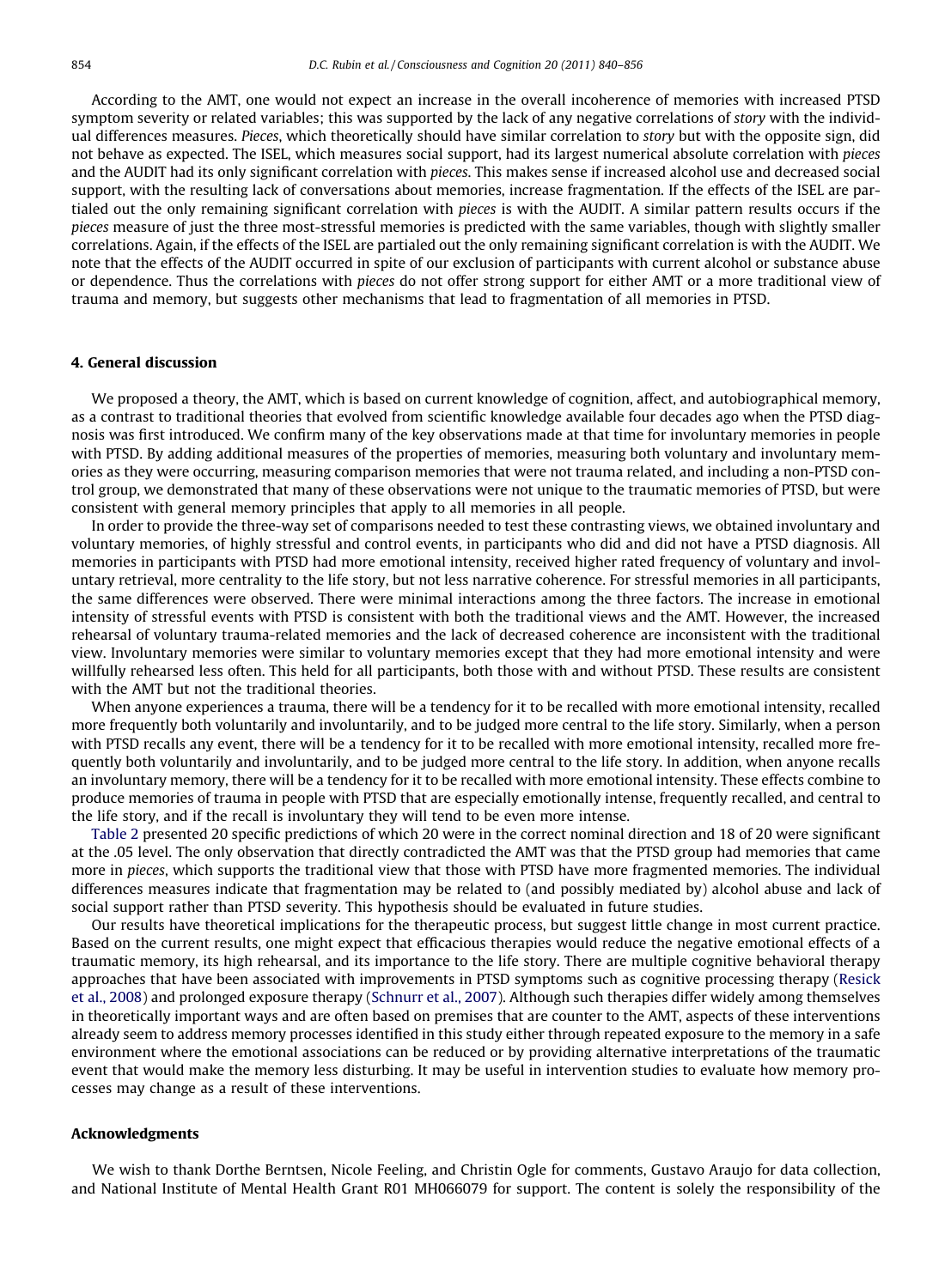According to the AMT, one would not expect an increase in the overall incoherence of memories with increased PTSD symptom severity or related variables; this was supported by the lack of any negative correlations of story with the individual differences measures. Pieces, which theoretically should have similar correlation to story but with the opposite sign, did not behave as expected. The ISEL, which measures social support, had its largest numerical absolute correlation with pieces and the AUDIT had its only significant correlation with pieces. This makes sense if increased alcohol use and decreased social support, with the resulting lack of conversations about memories, increase fragmentation. If the effects of the ISEL are partialed out the only remaining significant correlation with pieces is with the AUDIT. A similar pattern results occurs if the pieces measure of just the three most-stressful memories is predicted with the same variables, though with slightly smaller correlations. Again, if the effects of the ISEL are partialed out the only remaining significant correlation is with the AUDIT. We note that the effects of the AUDIT occurred in spite of our exclusion of participants with current alcohol or substance abuse or dependence. Thus the correlations with pieces do not offer strong support for either AMT or a more traditional view of trauma and memory, but suggests other mechanisms that lead to fragmentation of all memories in PTSD.

#### 4. General discussion

We proposed a theory, the AMT, which is based on current knowledge of cognition, affect, and autobiographical memory, as a contrast to traditional theories that evolved from scientific knowledge available four decades ago when the PTSD diagnosis was first introduced. We confirm many of the key observations made at that time for involuntary memories in people with PTSD. By adding additional measures of the properties of memories, measuring both voluntary and involuntary memories as they were occurring, measuring comparison memories that were not trauma related, and including a non-PTSD control group, we demonstrated that many of these observations were not unique to the traumatic memories of PTSD, but were consistent with general memory principles that apply to all memories in all people.

In order to provide the three-way set of comparisons needed to test these contrasting views, we obtained involuntary and voluntary memories, of highly stressful and control events, in participants who did and did not have a PTSD diagnosis. All memories in participants with PTSD had more emotional intensity, received higher rated frequency of voluntary and involuntary retrieval, more centrality to the life story, but not less narrative coherence. For stressful memories in all participants, the same differences were observed. There were minimal interactions among the three factors. The increase in emotional intensity of stressful events with PTSD is consistent with both the traditional views and the AMT. However, the increased rehearsal of voluntary trauma-related memories and the lack of decreased coherence are inconsistent with the traditional view. Involuntary memories were similar to voluntary memories except that they had more emotional intensity and were willfully rehearsed less often. This held for all participants, both those with and without PTSD. These results are consistent with the AMT but not the traditional theories.

When anyone experiences a trauma, there will be a tendency for it to be recalled with more emotional intensity, recalled more frequently both voluntarily and involuntarily, and to be judged more central to the life story. Similarly, when a person with PTSD recalls any event, there will be a tendency for it to be recalled with more emotional intensity, recalled more frequently both voluntarily and involuntarily, and to be judged more central to the life story. In addition, when anyone recalls an involuntary memory, there will be a tendency for it to be recalled with more emotional intensity. These effects combine to produce memories of trauma in people with PTSD that are especially emotionally intense, frequently recalled, and central to the life story, and if the recall is involuntary they will tend to be even more intense.

[Table 2](#page-4-0) presented 20 specific predictions of which 20 were in the correct nominal direction and 18 of 20 were significant at the .05 level. The only observation that directly contradicted the AMT was that the PTSD group had memories that came more in pieces, which supports the traditional view that those with PTSD have more fragmented memories. The individual differences measures indicate that fragmentation may be related to (and possibly mediated by) alcohol abuse and lack of social support rather than PTSD severity. This hypothesis should be evaluated in future studies.

Our results have theoretical implications for the therapeutic process, but suggest little change in most current practice. Based on the current results, one might expect that efficacious therapies would reduce the negative emotional effects of a traumatic memory, its high rehearsal, and its importance to the life story. There are multiple cognitive behavioral therapy approaches that have been associated with improvements in PTSD symptoms such as cognitive processing therapy ([Resick](#page-15-0) [et al., 2008](#page-15-0)) and prolonged exposure therapy [\(Schnurr et al., 2007\)](#page-16-0). Although such therapies differ widely among themselves in theoretically important ways and are often based on premises that are counter to the AMT, aspects of these interventions already seem to address memory processes identified in this study either through repeated exposure to the memory in a safe environment where the emotional associations can be reduced or by providing alternative interpretations of the traumatic event that would make the memory less disturbing. It may be useful in intervention studies to evaluate how memory processes may change as a result of these interventions.

#### Acknowledgments

We wish to thank Dorthe Berntsen, Nicole Feeling, and Christin Ogle for comments, Gustavo Araujo for data collection, and National Institute of Mental Health Grant R01 MH066079 for support. The content is solely the responsibility of the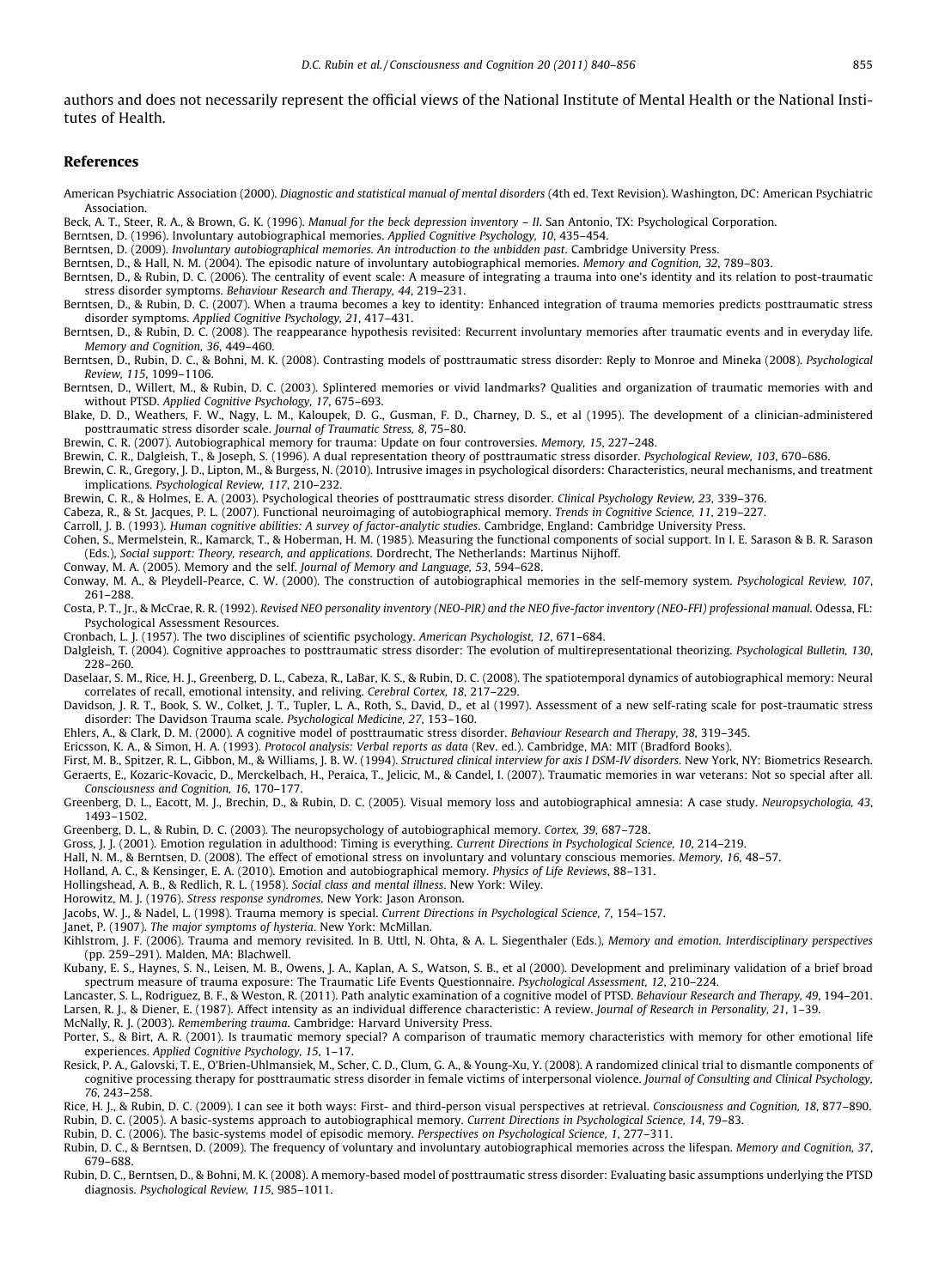<span id="page-15-0"></span>authors and does not necessarily represent the official views of the National Institute of Mental Health or the National Institutes of Health.

#### References

- American Psychiatric Association (2000). Diagnostic and statistical manual of mental disorders (4th ed. Text Revision). Washington, DC: American Psychiatric Association.
- Beck, A. T., Steer, R. A., & Brown, G. K. (1996). Manual for the beck depression inventory II. San Antonio, TX: Psychological Corporation.
- Berntsen, D. (1996). Involuntary autobiographical memories. Applied Cognitive Psychology, 10, 435–454.
- Berntsen, D. (2009). Involuntary autobiographical memories. An introduction to the unbidden past. Cambridge University Press.
- Berntsen, D., & Hall, N. M. (2004). The episodic nature of involuntary autobiographical memories. Memory and Cognition, 32, 789–803.
- Berntsen, D., & Rubin, D. C. (2006). The centrality of event scale: A measure of integrating a trauma into one's identity and its relation to post-traumatic stress disorder symptoms. Behaviour Research and Therapy, 44, 219–231.
- Berntsen, D., & Rubin, D. C. (2007). When a trauma becomes a key to identity: Enhanced integration of trauma memories predicts posttraumatic stress disorder symptoms. Applied Cognitive Psychology, 21, 417–431.
- Berntsen, D., & Rubin, D. C. (2008). The reappearance hypothesis revisited: Recurrent involuntary memories after traumatic events and in everyday life. Memory and Cognition, 36, 449–460.
- Berntsen, D., Rubin, D. C., & Bohni, M. K. (2008). Contrasting models of posttraumatic stress disorder: Reply to Monroe and Mineka (2008). Psychological Review, 115, 1099–1106.
- Berntsen, D., Willert, M., & Rubin, D. C. (2003). Splintered memories or vivid landmarks? Qualities and organization of traumatic memories with and without PTSD. Applied Cognitive Psychology, 17, 675–693.
- Blake, D. D., Weathers, F. W., Nagy, L. M., Kaloupek, D. G., Gusman, F. D., Charney, D. S., et al (1995). The development of a clinician-administered posttraumatic stress disorder scale. Journal of Traumatic Stress, 8, 75–80.
- Brewin, C. R. (2007). Autobiographical memory for trauma: Update on four controversies. Memory, 15, 227–248.
- Brewin, C. R., Dalgleish, T., & Joseph, S. (1996). A dual representation theory of posttraumatic stress disorder. Psychological Review, 103, 670–686.
- Brewin, C. R., Gregory, J. D., Lipton, M., & Burgess, N. (2010). Intrusive images in psychological disorders: Characteristics, neural mechanisms, and treatment implications. Psychological Review, 117, 210–232.
- Brewin, C. R., & Holmes, E. A. (2003). Psychological theories of posttraumatic stress disorder. Clinical Psychology Review, 23, 339–376.
- Cabeza, R., & St. Jacques, P. L. (2007). Functional neuroimaging of autobiographical memory. Trends in Cognitive Science, 11, 219–227.

Carroll, J. B. (1993). Human cognitive abilities: A survey of factor-analytic studies. Cambridge, England: Cambridge University Press.

- Cohen, S., Mermelstein, R., Kamarck, T., & Hoberman, H. M. (1985). Measuring the functional components of social support. In I. E. Sarason & B. R. Sarason (Eds.), Social support: Theory, research, and applications. Dordrecht, The Netherlands: Martinus Nijhoff.
- Conway, M. A. (2005). Memory and the self. Journal of Memory and Language, 53, 594–628.
- Conway, M. A., & Pleydell-Pearce, C. W. (2000). The construction of autobiographical memories in the self-memory system. Psychological Review, 107, 261–288.
- Costa, P. T., Jr., & McCrae, R. R. (1992). Revised NEO personality inventory (NEO-PIR) and the NEO five-factor inventory (NEO-FFI) professional manual. Odessa, FL: Psychological Assessment Resources.
- Cronbach, L. J. (1957). The two disciplines of scientific psychology. American Psychologist, 12, 671–684.
- Dalgleish, T. (2004). Cognitive approaches to posttraumatic stress disorder: The evolution of multirepresentational theorizing. Psychological Bulletin, 130, 228–260.
- Daselaar, S. M., Rice, H. J., Greenberg, D. L., Cabeza, R., LaBar, K. S., & Rubin, D. C. (2008). The spatiotemporal dynamics of autobiographical memory: Neural correlates of recall, emotional intensity, and reliving. Cerebral Cortex, 18, 217–229.
- Davidson, J. R. T., Book, S. W., Colket, J. T., Tupler, L. A., Roth, S., David, D., et al (1997). Assessment of a new self-rating scale for post-traumatic stress disorder: The Davidson Trauma scale. Psychological Medicine, 27, 153–160.
- Ehlers, A., & Clark, D. M. (2000). A cognitive model of posttraumatic stress disorder. Behaviour Research and Therapy, 38, 319–345.
- Ericsson, K. A., & Simon, H. A. (1993). Protocol analysis: Verbal reports as data (Rev. ed.). Cambridge, MA: MIT (Bradford Books).
- First, M. B., Spitzer, R. L., Gibbon, M., & Williams, J. B. W. (1994). Structured clinical interview for axis I DSM-IV disorders. New York, NY: Biometrics Research. Geraerts, E., Kozaric-Kovacic, D., Merckelbach, H., Peraica, T., Jelicic, M., & Candel, I. (2007). Traumatic memories in war veterans: Not so special after all. Consciousness and Cognition, 16, 170–177.
- Greenberg, D. L., Eacott, M. J., Brechin, D., & Rubin, D. C. (2005). Visual memory loss and autobiographical amnesia: A case study. Neuropsychologia, 43, 1493–1502.
- Greenberg, D. L., & Rubin, D. C. (2003). The neuropsychology of autobiographical memory. Cortex, 39, 687–728.
- Gross, J. J. (2001). Emotion regulation in adulthood: Timing is everything. Current Directions in Psychological Science, 10, 214–219.
- Hall, N. M., & Berntsen, D. (2008). The effect of emotional stress on involuntary and voluntary conscious memories. Memory, 16, 48–57.
- Holland, A. C., & Kensinger, E. A. (2010). Emotion and autobiographical memory. Physics of Life Reviews, 88–131.
- Hollingshead, A. B., & Redlich, R. L. (1958). Social class and mental illness. New York: Wiley.
- Horowitz, M. J. (1976). Stress response syndromes. New York: Jason Aronson.
- Jacobs, W. J., & Nadel, L. (1998). Trauma memory is special. Current Directions in Psychological Science, 7, 154–157.
- Janet, P. (1907). The major symptoms of hysteria. New York: McMillan.
- Kihlstrom, J. F. (2006). Trauma and memory revisited. In B. Uttl, N. Ohta, & A. L. Siegenthaler (Eds.), Memory and emotion. Interdisciplinary perspectives (pp. 259–291). Malden, MA: Blachwell.
- Kubany, E. S., Haynes, S. N., Leisen, M. B., Owens, J. A., Kaplan, A. S., Watson, S. B., et al (2000). Development and preliminary validation of a brief broad spectrum measure of trauma exposure: The Traumatic Life Events Questionnaire. Psychological Assessment, 12, 210–224.
- Lancaster, S. L., Rodriguez, B. F., & Weston, R. (2011). Path analytic examination of a cognitive model of PTSD. Behaviour Research and Therapy, 49, 194–201. Larsen, R. J., & Diener, E. (1987). Affect intensity as an individual difference characteristic: A review. Journal of Research in Personality, 21, 1–39.
- McNally, R. J. (2003). Remembering trauma. Cambridge: Harvard University Press.
- Porter, S., & Birt, A. R. (2001). Is traumatic memory special? A comparison of traumatic memory characteristics with memory for other emotional life experiences. Applied Cognitive Psychology, 15, 1–17.
- Resick, P. A., Galovski, T. E., O'Brien-Uhlmansiek, M., Scher, C. D., Clum, G. A., & Young-Xu, Y. (2008). A randomized clinical trial to dismantle components of cognitive processing therapy for posttraumatic stress disorder in female victims of interpersonal violence. Journal of Consulting and Clinical Psychology, 76, 243–258.
- Rice, H. J., & Rubin, D. C. (2009). I can see it both ways: First- and third-person visual perspectives at retrieval. Consciousness and Cognition, 18, 877–890. Rubin, D. C. (2005). A basic-systems approach to autobiographical memory. Current Directions in Psychological Science, 14, 79–83.
- Rubin, D. C. (2006). The basic-systems model of episodic memory. Perspectives on Psychological Science, 1, 277–311.
- Rubin, D. C., & Berntsen, D. (2009). The frequency of voluntary and involuntary autobiographical memories across the lifespan. Memory and Cognition, 37, 679–688.
- Rubin, D. C., Berntsen, D., & Bohni, M. K. (2008). A memory-based model of posttraumatic stress disorder: Evaluating basic assumptions underlying the PTSD diagnosis. Psychological Review, 115, 985–1011.